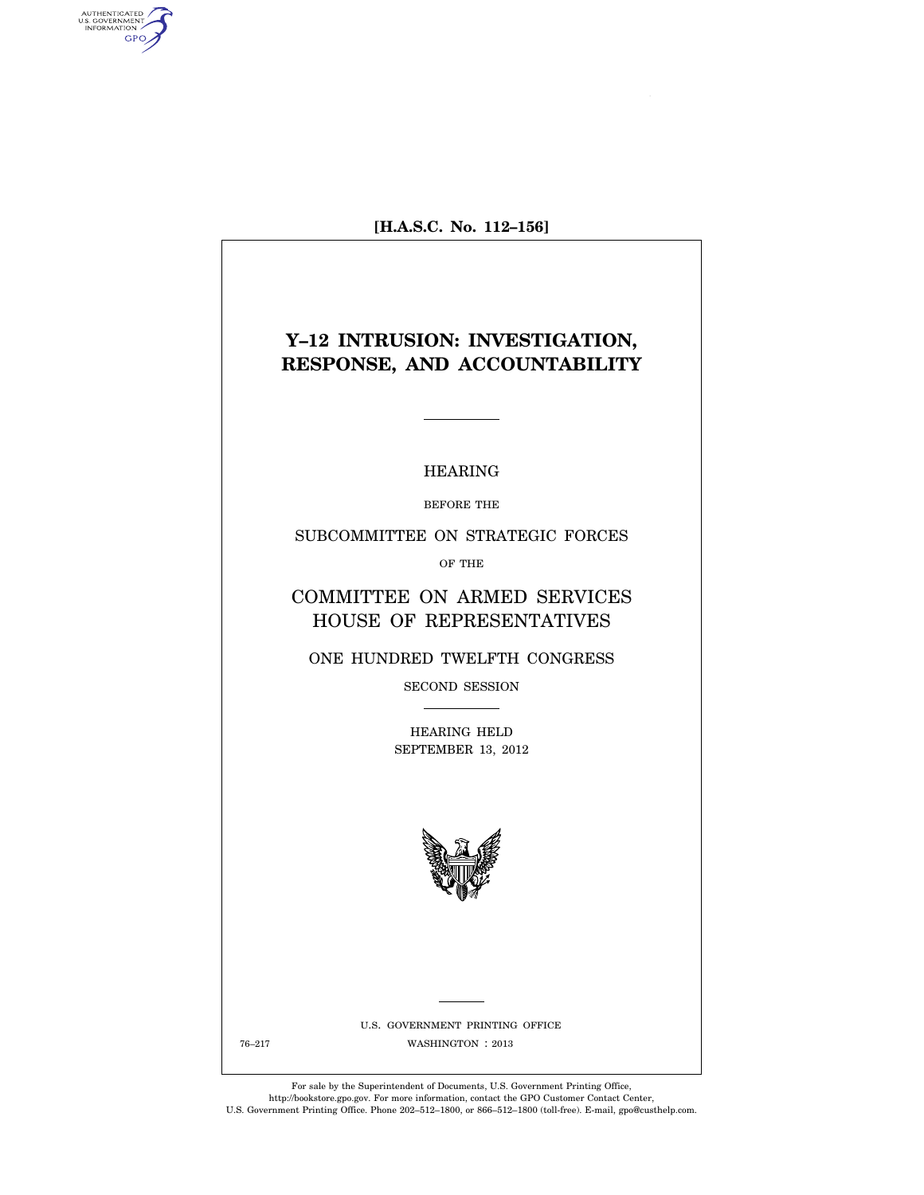**[H.A.S.C. No. 112–156]** 

AUTHENTICATED<br>U.S. GOVERNMENT<br>INFORMATION **GPO** 

# **Y–12 INTRUSION: INVESTIGATION, RESPONSE, AND ACCOUNTABILITY**

### HEARING

BEFORE THE

SUBCOMMITTEE ON STRATEGIC FORCES

OF THE

COMMITTEE ON ARMED SERVICES HOUSE OF REPRESENTATIVES

ONE HUNDRED TWELFTH CONGRESS

SECOND SESSION

HEARING HELD SEPTEMBER 13, 2012



U.S. GOVERNMENT PRINTING OFFICE 76-217 WASHINGTON : 2013

For sale by the Superintendent of Documents, U.S. Government Printing Office, http://bookstore.gpo.gov. For more information, contact the GPO Customer Contact Center, U.S. Government Printing Office. Phone 202–512–1800, or 866–512–1800 (toll-free). E-mail, gpo@custhelp.com.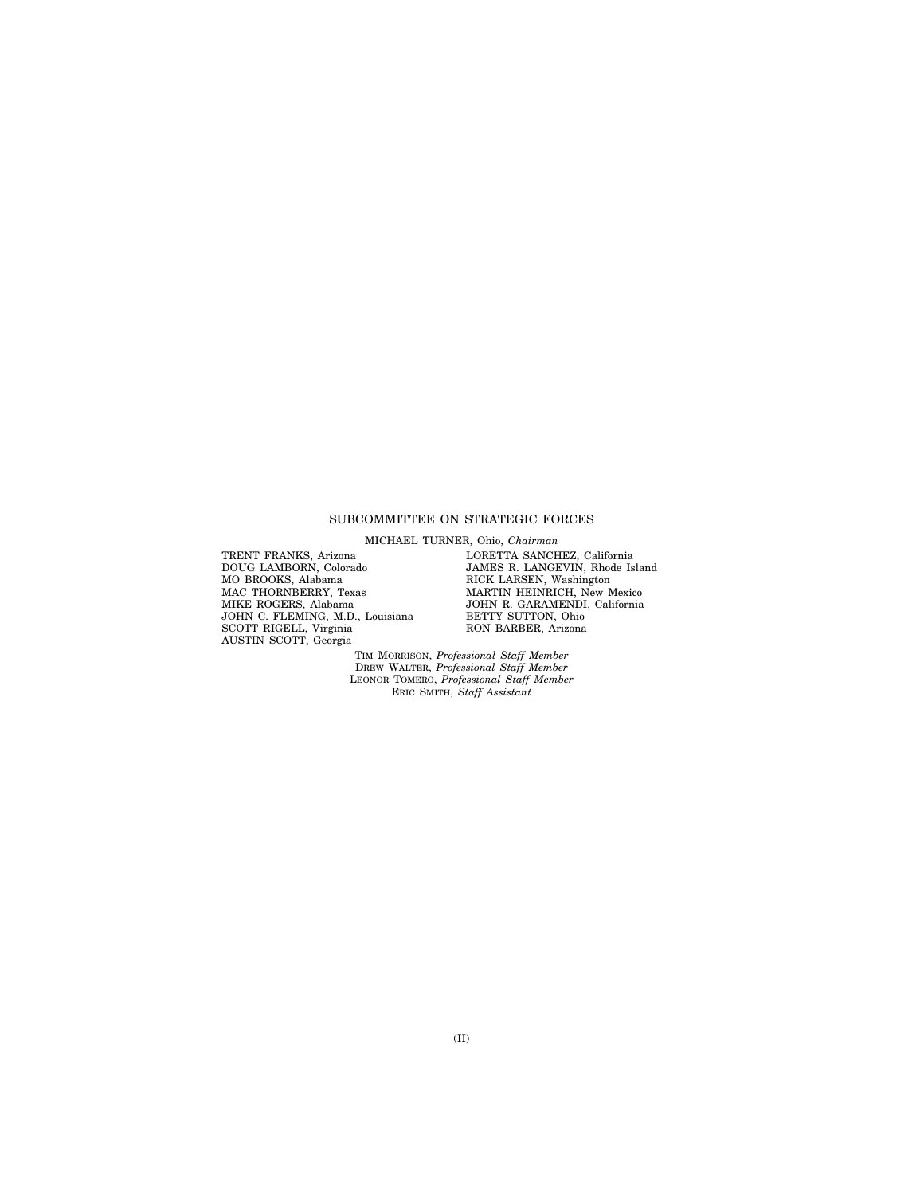#### SUBCOMMITTEE ON STRATEGIC FORCES

MICHAEL TURNER, Ohio, *Chairman* 

TRENT FRANKS, Arizona DOUG LAMBORN, Colorado MO BROOKS, Alabama MAC THORNBERRY, Texas MIKE ROGERS, Alabama JOHN C. FLEMING, M.D., Louisiana SCOTT RIGELL, Virginia AUSTIN SCOTT, Georgia

LORETTA SANCHEZ, California JAMES R. LANGEVIN, Rhode Island RICK LARSEN, Washington MARTIN HEINRICH, New Mexico JOHN R. GARAMENDI, California BETTY SUTTON, Ohio RON BARBER, Arizona

TIM MORRISON, *Professional Staff Member*  DREW WALTER, *Professional Staff Member*  LEONOR TOMERO, *Professional Staff Member*  ERIC SMITH, *Staff Assistant*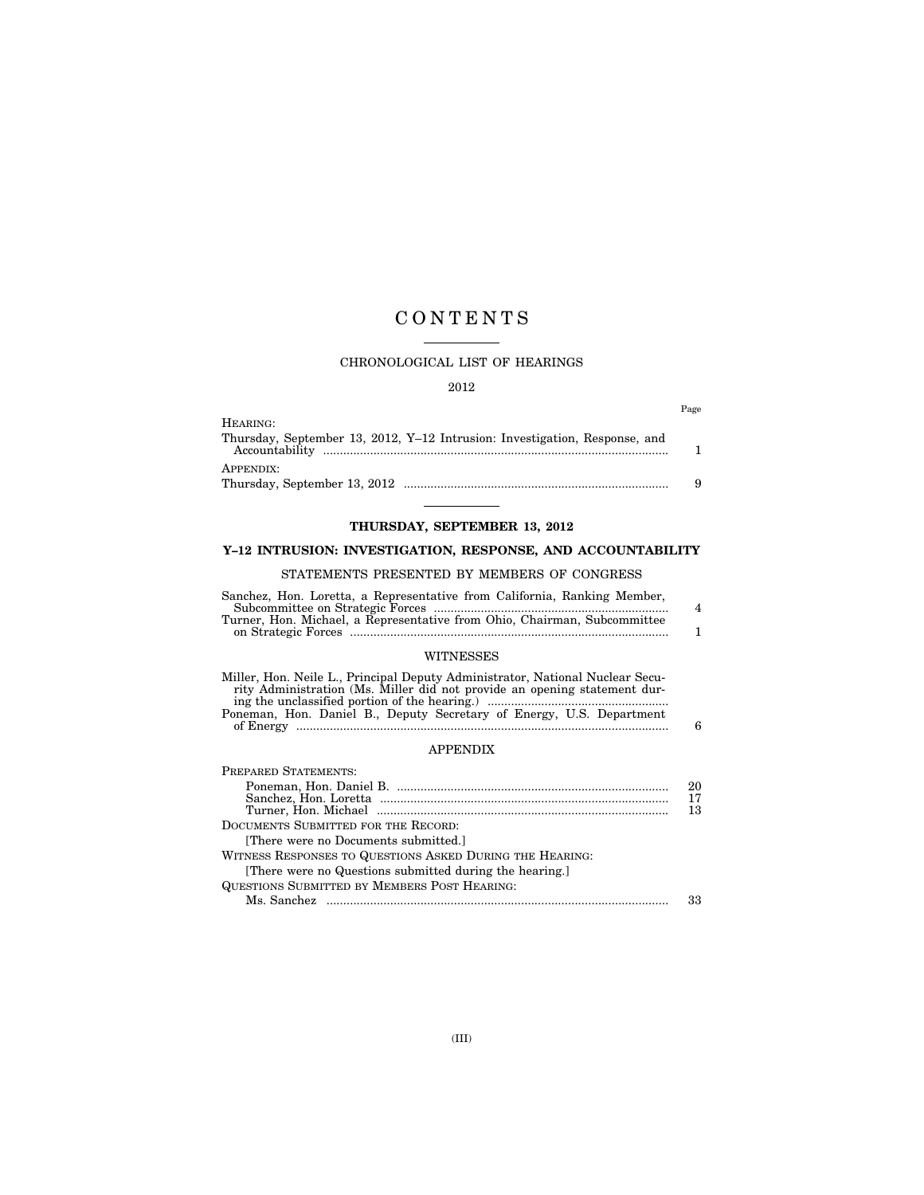# C O N T E N T S

#### CHRONOLOGICAL LIST OF HEARINGS

#### 2012

Page

| HEARING:                                                                   |   |
|----------------------------------------------------------------------------|---|
| Thursday, September 13, 2012, Y-12 Intrusion: Investigation, Response, and |   |
|                                                                            |   |
| APPENDIX:                                                                  |   |
|                                                                            | Q |

# **THURSDAY, SEPTEMBER 13, 2012**

## **Y–12 INTRUSION: INVESTIGATION, RESPONSE, AND ACCOUNTABILITY**

### STATEMENTS PRESENTED BY MEMBERS OF CONGRESS

| Sanchez, Hon. Loretta, a Representative from California, Ranking Member, |                |
|--------------------------------------------------------------------------|----------------|
|                                                                          | $\overline{4}$ |
| Turner, Hon. Michael, a Representative from Ohio, Chairman, Subcommittee |                |
|                                                                          |                |
|                                                                          |                |

### WITNESSES

| Miller, Hon. Neile L., Principal Deputy Administrator, National Nuclear Secu- |   |
|-------------------------------------------------------------------------------|---|
| rity Administration (Ms. Miller did not provide an opening statement dur-     |   |
|                                                                               |   |
| Poneman, Hon. Daniel B., Deputy Secretary of Energy, U.S. Department          |   |
|                                                                               | 6 |

#### APPENDIX

| PREPARED STATEMENTS:                                     |    |
|----------------------------------------------------------|----|
|                                                          | 20 |
|                                                          | 17 |
|                                                          | 13 |
| DOCUMENTS SUBMITTED FOR THE RECORD:                      |    |
| There were no Documents submitted.                       |    |
| WITNESS RESPONSES TO QUESTIONS ASKED DURING THE HEARING: |    |
| [There were no Questions submitted during the hearing.]  |    |
| QUESTIONS SUBMITTED BY MEMBERS POST HEARING:             |    |
|                                                          | 33 |
|                                                          |    |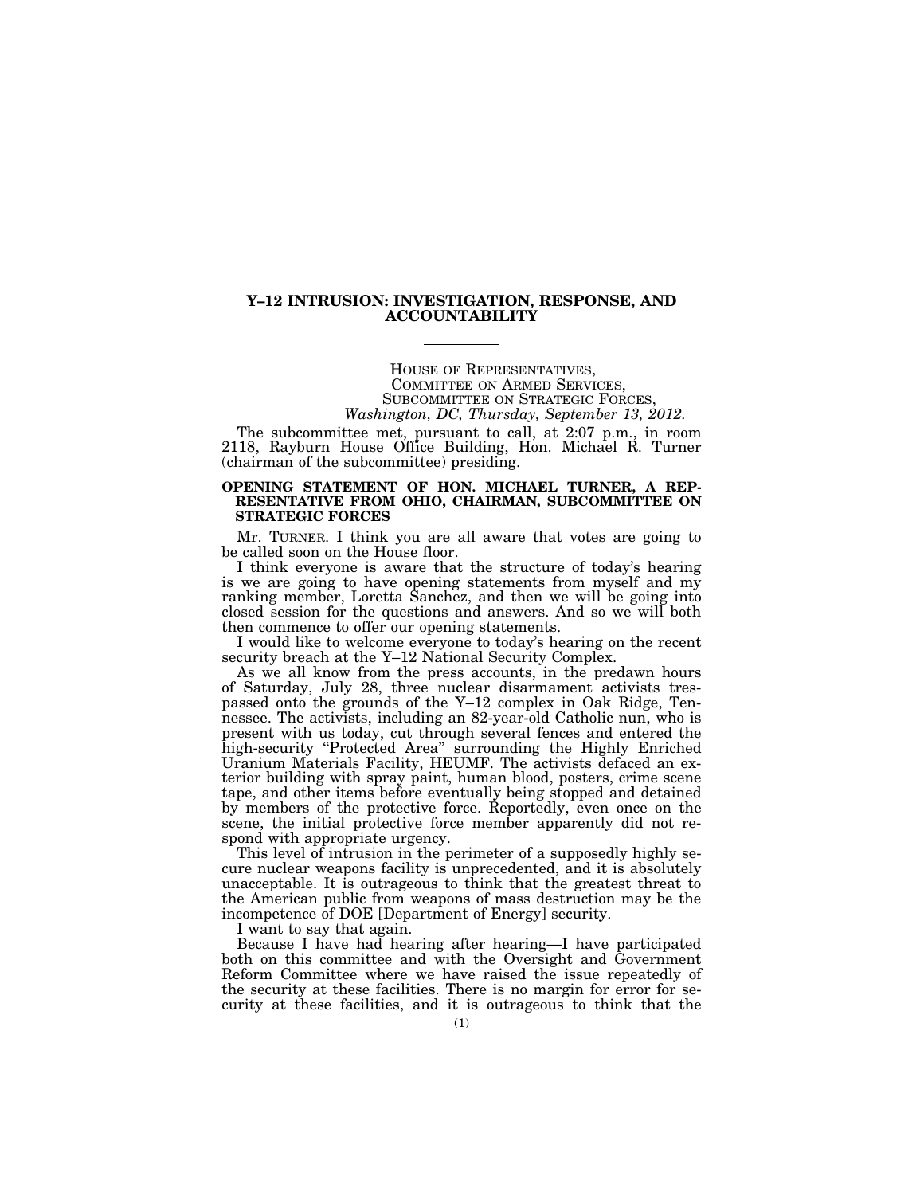#### **Y–12 INTRUSION: INVESTIGATION, RESPONSE, AND ACCOUNTABILITY**

HOUSE OF REPRESENTATIVES, COMMITTEE ON ARMED SERVICES, SUBCOMMITTEE ON STRATEGIC FORCES, *Washington, DC, Thursday, September 13, 2012.* 

The subcommittee met, pursuant to call, at 2:07 p.m., in room 2118, Rayburn House Office Building, Hon. Michael R. Turner (chairman of the subcommittee) presiding.

#### **OPENING STATEMENT OF HON. MICHAEL TURNER, A REP-RESENTATIVE FROM OHIO, CHAIRMAN, SUBCOMMITTEE ON STRATEGIC FORCES**

Mr. TURNER. I think you are all aware that votes are going to be called soon on the House floor.

I think everyone is aware that the structure of today's hearing is we are going to have opening statements from myself and my ranking member, Loretta Sanchez, and then we will be going into closed session for the questions and answers. And so we will both then commence to offer our opening statements.

I would like to welcome everyone to today's hearing on the recent security breach at the Y–12 National Security Complex.

As we all know from the press accounts, in the predawn hours of Saturday, July 28, three nuclear disarmament activists trespassed onto the grounds of the Y–12 complex in Oak Ridge, Tennessee. The activists, including an 82-year-old Catholic nun, who is present with us today, cut through several fences and entered the high-security "Protected Area" surrounding the Highly Enriched Uranium Materials Facility, HEUMF. The activists defaced an exterior building with spray paint, human blood, posters, crime scene tape, and other items before eventually being stopped and detained by members of the protective force. Reportedly, even once on the scene, the initial protective force member apparently did not respond with appropriate urgency.

This level of intrusion in the perimeter of a supposedly highly secure nuclear weapons facility is unprecedented, and it is absolutely unacceptable. It is outrageous to think that the greatest threat to the American public from weapons of mass destruction may be the incompetence of DOE [Department of Energy] security.

I want to say that again.

Because I have had hearing after hearing—I have participated both on this committee and with the Oversight and Government Reform Committee where we have raised the issue repeatedly of the security at these facilities. There is no margin for error for security at these facilities, and it is outrageous to think that the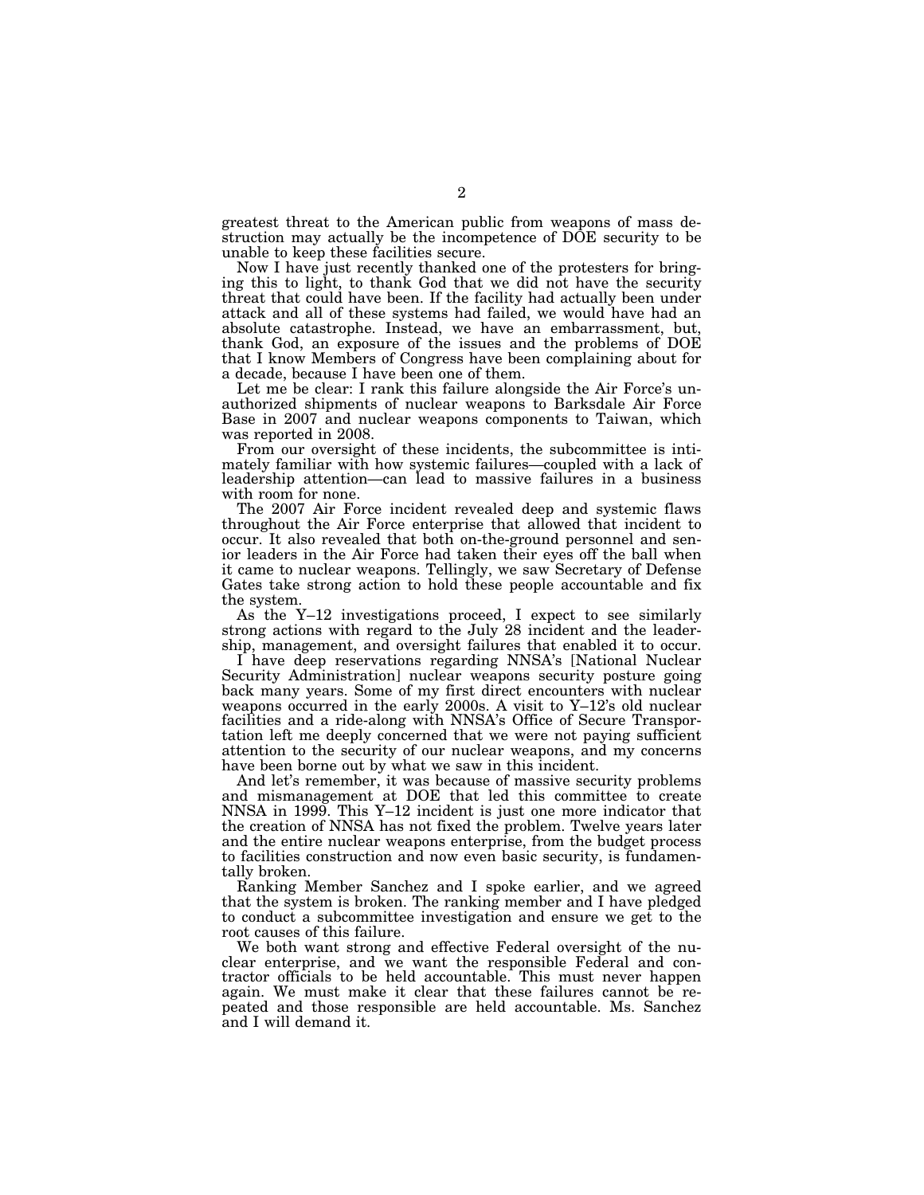greatest threat to the American public from weapons of mass destruction may actually be the incompetence of DOE security to be unable to keep these facilities secure.

Now I have just recently thanked one of the protesters for bringing this to light, to thank God that we did not have the security threat that could have been. If the facility had actually been under attack and all of these systems had failed, we would have had an absolute catastrophe. Instead, we have an embarrassment, but, thank God, an exposure of the issues and the problems of DOE that I know Members of Congress have been complaining about for a decade, because I have been one of them.

Let me be clear: I rank this failure alongside the Air Force's unauthorized shipments of nuclear weapons to Barksdale Air Force Base in 2007 and nuclear weapons components to Taiwan, which was reported in 2008.

From our oversight of these incidents, the subcommittee is intimately familiar with how systemic failures—coupled with a lack of leadership attention—can lead to massive failures in a business with room for none.

The 2007 Air Force incident revealed deep and systemic flaws throughout the Air Force enterprise that allowed that incident to occur. It also revealed that both on-the-ground personnel and senior leaders in the Air Force had taken their eyes off the ball when it came to nuclear weapons. Tellingly, we saw Secretary of Defense Gates take strong action to hold these people accountable and fix the system.

As the Y–12 investigations proceed, I expect to see similarly strong actions with regard to the July 28 incident and the leadership, management, and oversight failures that enabled it to occur.

I have deep reservations regarding NNSA's [National Nuclear Security Administration] nuclear weapons security posture going back many years. Some of my first direct encounters with nuclear weapons occurred in the early 2000s. A visit to Y–12's old nuclear facilities and a ride-along with NNSA's Office of Secure Transportation left me deeply concerned that we were not paying sufficient attention to the security of our nuclear weapons, and my concerns have been borne out by what we saw in this incident.

And let's remember, it was because of massive security problems and mismanagement at DOE that led this committee to create NNSA in 1999. This Y–12 incident is just one more indicator that the creation of NNSA has not fixed the problem. Twelve years later and the entire nuclear weapons enterprise, from the budget process to facilities construction and now even basic security, is fundamentally broken.

Ranking Member Sanchez and I spoke earlier, and we agreed that the system is broken. The ranking member and I have pledged to conduct a subcommittee investigation and ensure we get to the root causes of this failure.

We both want strong and effective Federal oversight of the nuclear enterprise, and we want the responsible Federal and contractor officials to be held accountable. This must never happen again. We must make it clear that these failures cannot be repeated and those responsible are held accountable. Ms. Sanchez and I will demand it.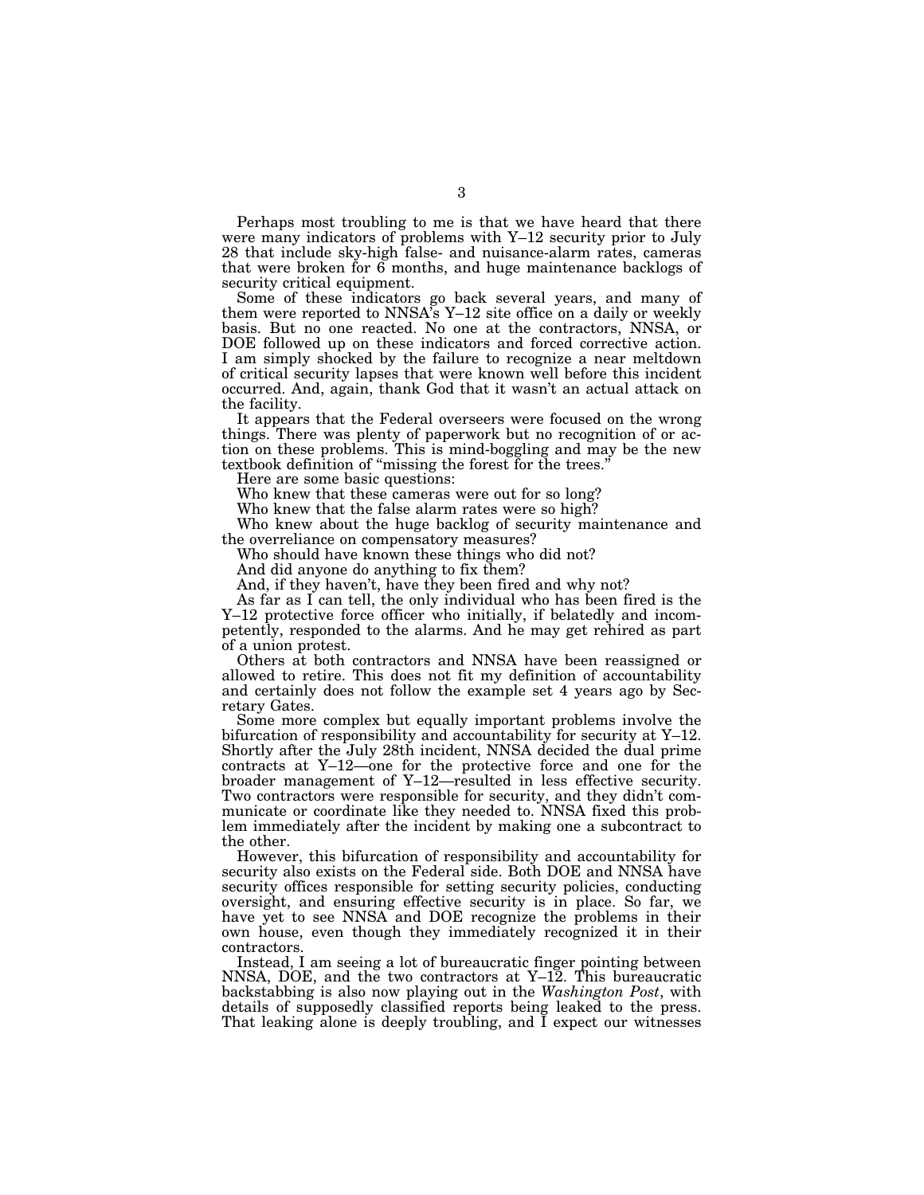Perhaps most troubling to me is that we have heard that there were many indicators of problems with Y–12 security prior to July 28 that include sky-high false- and nuisance-alarm rates, cameras that were broken for  $\vec{6}$  months, and huge maintenance backlogs of security critical equipment.

Some of these indicators go back several years, and many of them were reported to NNSA's  $Y-12$  site office on a daily or weekly basis. But no one reacted. No one at the contractors, NNSA, or DOE followed up on these indicators and forced corrective action. I am simply shocked by the failure to recognize a near meltdown of critical security lapses that were known well before this incident occurred. And, again, thank God that it wasn't an actual attack on the facility.

It appears that the Federal overseers were focused on the wrong things. There was plenty of paperwork but no recognition of or action on these problems. This is mind-boggling and may be the new textbook definition of ''missing the forest for the trees.''

Here are some basic questions:

Who knew that these cameras were out for so long?

Who knew that the false alarm rates were so high?

Who knew about the huge backlog of security maintenance and the overreliance on compensatory measures?

Who should have known these things who did not?

And did anyone do anything to fix them?

And, if they haven't, have they been fired and why not?

As far as I can tell, the only individual who has been fired is the Y–12 protective force officer who initially, if belatedly and incompetently, responded to the alarms. And he may get rehired as part of a union protest.

Others at both contractors and NNSA have been reassigned or allowed to retire. This does not fit my definition of accountability and certainly does not follow the example set 4 years ago by Secretary Gates.

Some more complex but equally important problems involve the bifurcation of responsibility and accountability for security at Y–12. Shortly after the July 28th incident, NNSA decided the dual prime contracts at Y–12—one for the protective force and one for the broader management of Y–12—resulted in less effective security. Two contractors were responsible for security, and they didn't communicate or coordinate like they needed to. NNSA fixed this problem immediately after the incident by making one a subcontract to the other.

However, this bifurcation of responsibility and accountability for security also exists on the Federal side. Both DOE and NNSA have security offices responsible for setting security policies, conducting oversight, and ensuring effective security is in place. So far, we have yet to see NNSA and DOE recognize the problems in their own house, even though they immediately recognized it in their contractors.

Instead, I am seeing a lot of bureaucratic finger pointing between NNSA, DOE, and the two contractors at Y–12. This bureaucratic backstabbing is also now playing out in the *Washington Post*, with details of supposedly classified reports being leaked to the press. That leaking alone is deeply troubling, and I expect our witnesses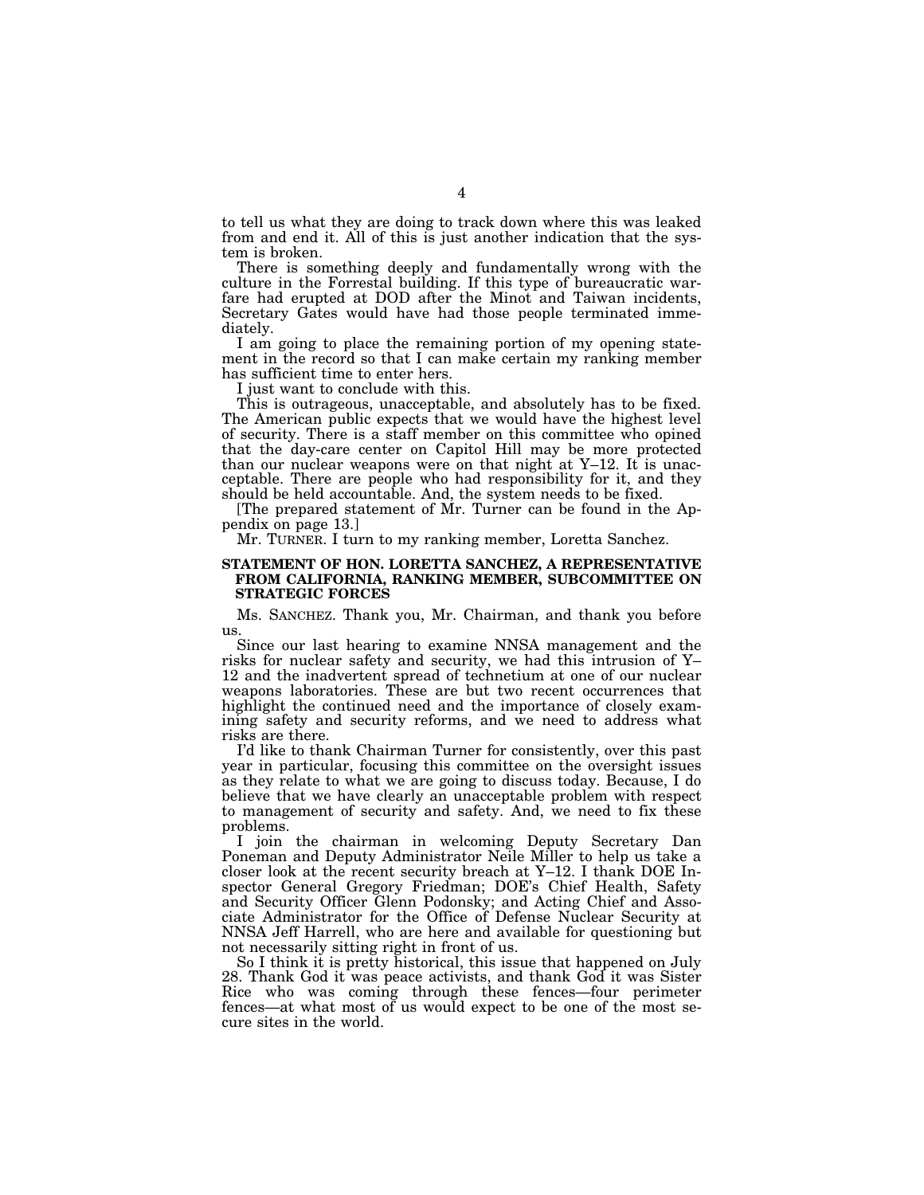to tell us what they are doing to track down where this was leaked from and end it. All of this is just another indication that the system is broken.

There is something deeply and fundamentally wrong with the culture in the Forrestal building. If this type of bureaucratic warfare had erupted at DOD after the Minot and Taiwan incidents, Secretary Gates would have had those people terminated immediately.

I am going to place the remaining portion of my opening statement in the record so that I can make certain my ranking member has sufficient time to enter hers.

I just want to conclude with this.

This is outrageous, unacceptable, and absolutely has to be fixed. The American public expects that we would have the highest level of security. There is a staff member on this committee who opined that the day-care center on Capitol Hill may be more protected than our nuclear weapons were on that night at Y–12. It is unacceptable. There are people who had responsibility for it, and they should be held accountable. And, the system needs to be fixed.

[The prepared statement of Mr. Turner can be found in the Appendix on page 13.]

Mr. TURNER. I turn to my ranking member, Loretta Sanchez.

#### **STATEMENT OF HON. LORETTA SANCHEZ, A REPRESENTATIVE FROM CALIFORNIA, RANKING MEMBER, SUBCOMMITTEE ON STRATEGIC FORCES**

Ms. SANCHEZ. Thank you, Mr. Chairman, and thank you before us.

Since our last hearing to examine NNSA management and the risks for nuclear safety and security, we had this intrusion of Y– 12 and the inadvertent spread of technetium at one of our nuclear weapons laboratories. These are but two recent occurrences that highlight the continued need and the importance of closely examining safety and security reforms, and we need to address what risks are there.

I'd like to thank Chairman Turner for consistently, over this past year in particular, focusing this committee on the oversight issues as they relate to what we are going to discuss today. Because, I do believe that we have clearly an unacceptable problem with respect to management of security and safety. And, we need to fix these problems.

I join the chairman in welcoming Deputy Secretary Dan Poneman and Deputy Administrator Neile Miller to help us take a closer look at the recent security breach at Y–12. I thank DOE Inspector General Gregory Friedman; DOE's Chief Health, Safety and Security Officer Glenn Podonsky; and Acting Chief and Associate Administrator for the Office of Defense Nuclear Security at NNSA Jeff Harrell, who are here and available for questioning but not necessarily sitting right in front of us.

So I think it is pretty historical, this issue that happened on July 28. Thank God it was peace activists, and thank God it was Sister Rice who was coming through these fences—four perimeter fences—at what most of us would expect to be one of the most secure sites in the world.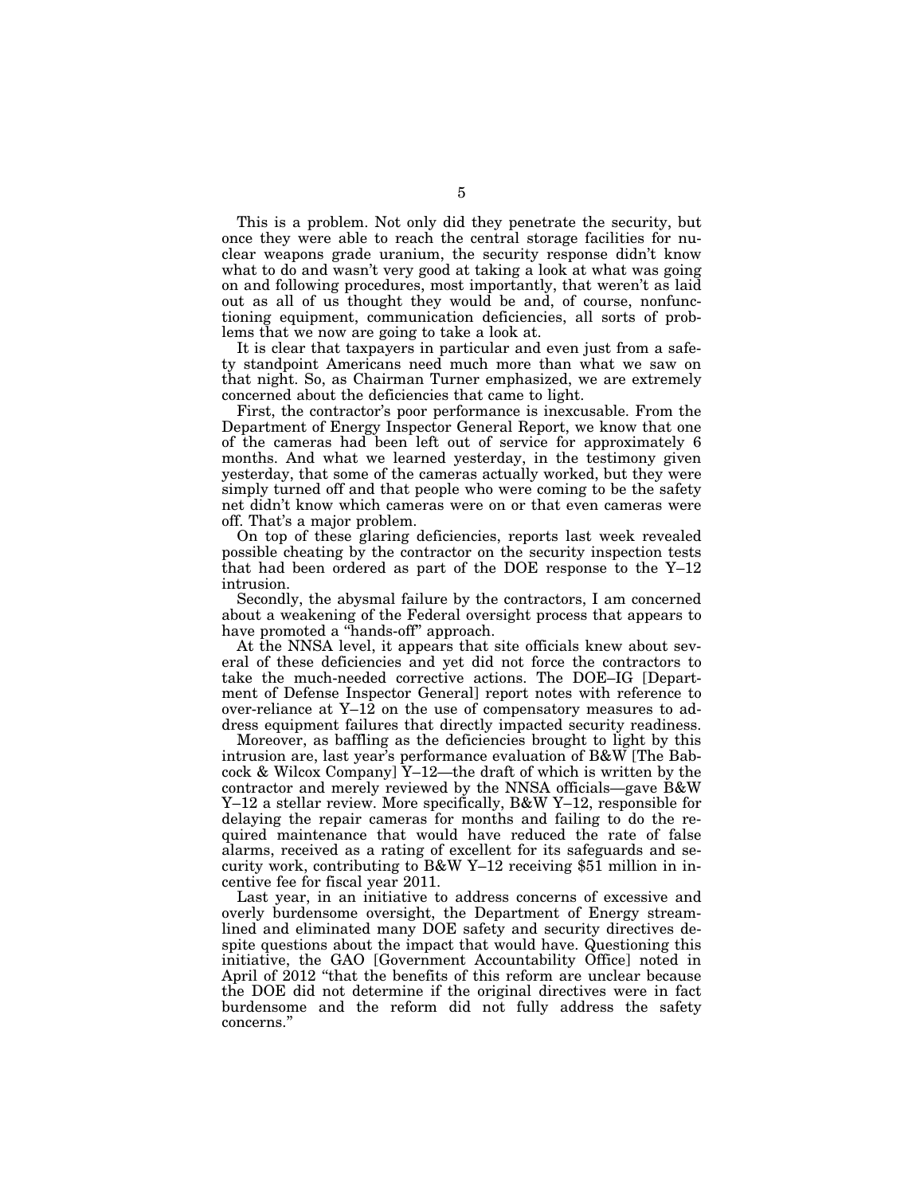This is a problem. Not only did they penetrate the security, but once they were able to reach the central storage facilities for nuclear weapons grade uranium, the security response didn't know what to do and wasn't very good at taking a look at what was going on and following procedures, most importantly, that weren't as laid out as all of us thought they would be and, of course, nonfunctioning equipment, communication deficiencies, all sorts of problems that we now are going to take a look at.

It is clear that taxpayers in particular and even just from a safety standpoint Americans need much more than what we saw on that night. So, as Chairman Turner emphasized, we are extremely concerned about the deficiencies that came to light.

First, the contractor's poor performance is inexcusable. From the Department of Energy Inspector General Report, we know that one of the cameras had been left out of service for approximately 6 months. And what we learned yesterday, in the testimony given yesterday, that some of the cameras actually worked, but they were simply turned off and that people who were coming to be the safety net didn't know which cameras were on or that even cameras were off. That's a major problem.

On top of these glaring deficiencies, reports last week revealed possible cheating by the contractor on the security inspection tests that had been ordered as part of the DOE response to the Y–12 intrusion.

Secondly, the abysmal failure by the contractors, I am concerned about a weakening of the Federal oversight process that appears to have promoted a ''hands-off'' approach.

At the NNSA level, it appears that site officials knew about several of these deficiencies and yet did not force the contractors to take the much-needed corrective actions. The DOE–IG [Department of Defense Inspector General] report notes with reference to over-reliance at  $Y-1\overline{2}$  on the use of compensatory measures to address equipment failures that directly impacted security readiness.

Moreover, as baffling as the deficiencies brought to light by this intrusion are, last year's performance evaluation of B&W [The Babcock & Wilcox Company]  $Y-12$ —the draft of which is written by the contractor and merely reviewed by the NNSA officials—gave B&W Y–12 a stellar review. More specifically, B&W Y–12, responsible for delaying the repair cameras for months and failing to do the required maintenance that would have reduced the rate of false alarms, received as a rating of excellent for its safeguards and security work, contributing to B&W Y–12 receiving  $$5\overline{1}$  million in incentive fee for fiscal year 2011.

Last year, in an initiative to address concerns of excessive and overly burdensome oversight, the Department of Energy streamlined and eliminated many DOE safety and security directives despite questions about the impact that would have. Questioning this initiative, the GAO [Government Accountability Office] noted in April of 2012 "that the benefits of this reform are unclear because the DOE did not determine if the original directives were in fact burdensome and the reform did not fully address the safety concerns.''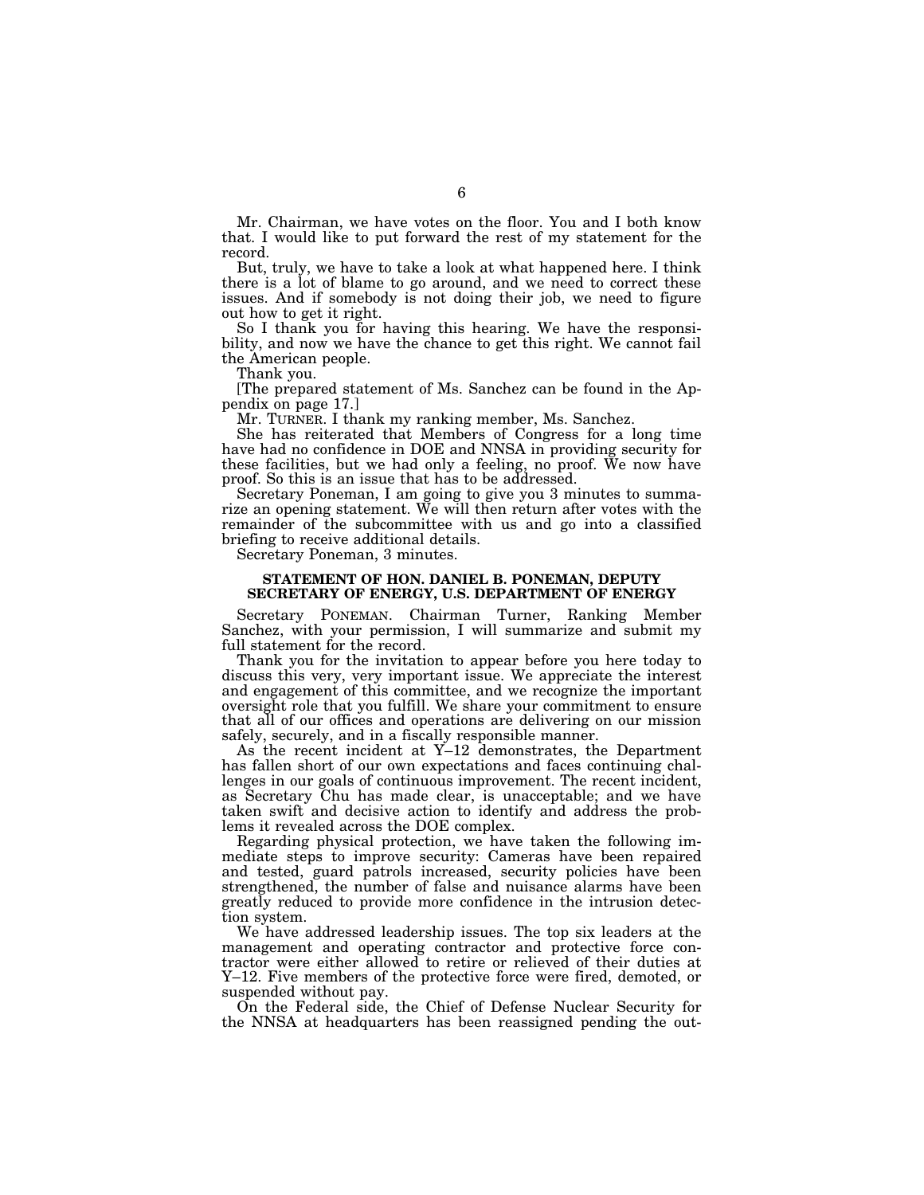Mr. Chairman, we have votes on the floor. You and I both know that. I would like to put forward the rest of my statement for the record.

But, truly, we have to take a look at what happened here. I think there is a lot of blame to go around, and we need to correct these issues. And if somebody is not doing their job, we need to figure out how to get it right.

So I thank you for having this hearing. We have the responsibility, and now we have the chance to get this right. We cannot fail the American people.

Thank you.

[The prepared statement of Ms. Sanchez can be found in the Appendix on page 17.]

Mr. TURNER. I thank my ranking member, Ms. Sanchez.

She has reiterated that Members of Congress for a long time have had no confidence in DOE and NNSA in providing security for these facilities, but we had only a feeling, no proof. We now have proof. So this is an issue that has to be addressed.

Secretary Poneman, I am going to give you 3 minutes to summarize an opening statement. We will then return after votes with the remainder of the subcommittee with us and go into a classified briefing to receive additional details.

Secretary Poneman, 3 minutes.

#### **STATEMENT OF HON. DANIEL B. PONEMAN, DEPUTY SECRETARY OF ENERGY, U.S. DEPARTMENT OF ENERGY**

Secretary PONEMAN. Chairman Turner, Ranking Member Sanchez, with your permission, I will summarize and submit my full statement for the record.

Thank you for the invitation to appear before you here today to discuss this very, very important issue. We appreciate the interest and engagement of this committee, and we recognize the important oversight role that you fulfill. We share your commitment to ensure that all of our offices and operations are delivering on our mission safely, securely, and in a fiscally responsible manner.

As the recent incident at Y–12 demonstrates, the Department has fallen short of our own expectations and faces continuing challenges in our goals of continuous improvement. The recent incident, as Secretary Chu has made clear, is unacceptable; and we have taken swift and decisive action to identify and address the problems it revealed across the DOE complex.

Regarding physical protection, we have taken the following immediate steps to improve security: Cameras have been repaired and tested, guard patrols increased, security policies have been strengthened, the number of false and nuisance alarms have been greatly reduced to provide more confidence in the intrusion detection system.

We have addressed leadership issues. The top six leaders at the management and operating contractor and protective force contractor were either allowed to retire or relieved of their duties at Y–12. Five members of the protective force were fired, demoted, or suspended without pay.

On the Federal side, the Chief of Defense Nuclear Security for the NNSA at headquarters has been reassigned pending the out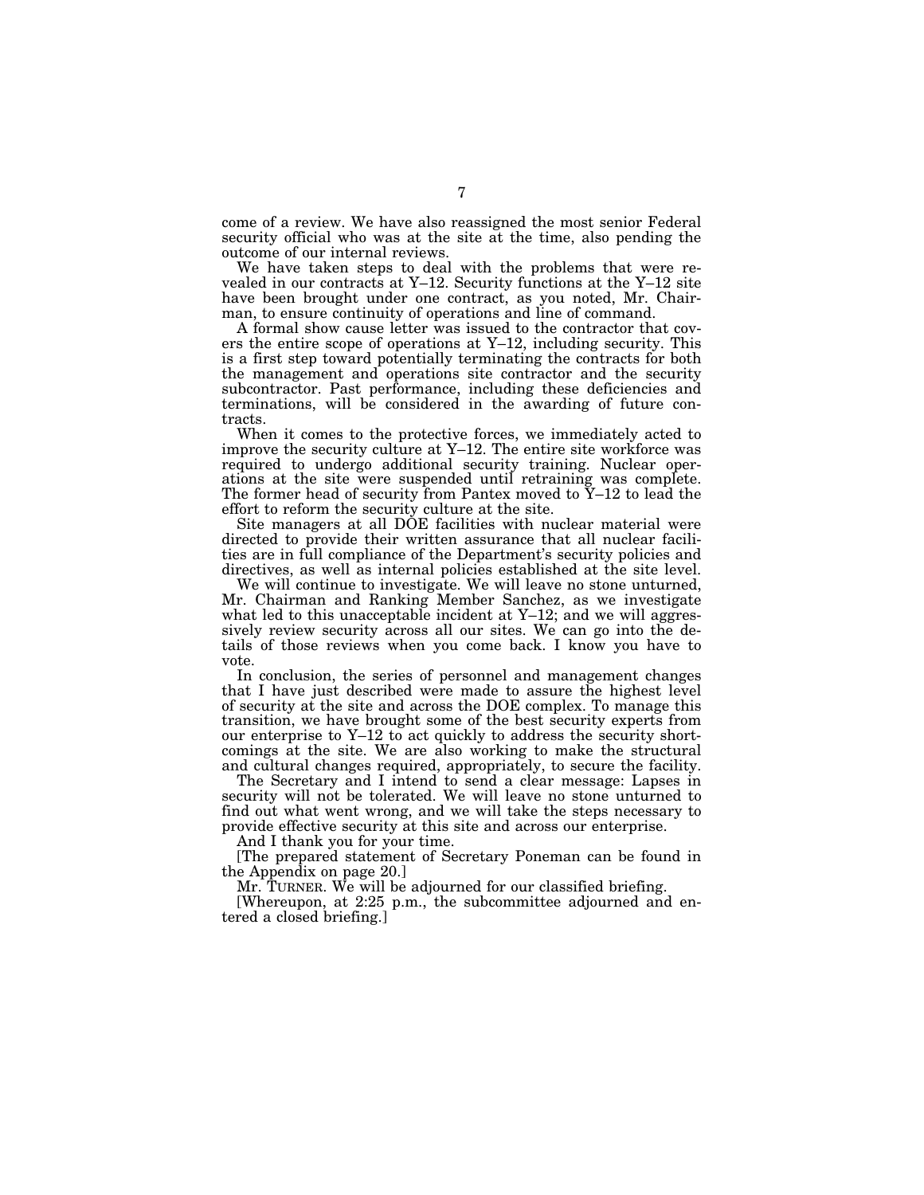come of a review. We have also reassigned the most senior Federal security official who was at the site at the time, also pending the outcome of our internal reviews.

We have taken steps to deal with the problems that were revealed in our contracts at Y–12. Security functions at the Y–12 site have been brought under one contract, as you noted, Mr. Chairman, to ensure continuity of operations and line of command.

A formal show cause letter was issued to the contractor that covers the entire scope of operations at Y–12, including security. This is a first step toward potentially terminating the contracts for both the management and operations site contractor and the security subcontractor. Past performance, including these deficiencies and terminations, will be considered in the awarding of future contracts.

When it comes to the protective forces, we immediately acted to improve the security culture at Y–12. The entire site workforce was required to undergo additional security training. Nuclear operations at the site were suspended until retraining was complete. The former head of security from Pantex moved to  $\bar{Y}$ –12 to lead the effort to reform the security culture at the site.

Site managers at all DOE facilities with nuclear material were directed to provide their written assurance that all nuclear facilities are in full compliance of the Department's security policies and directives, as well as internal policies established at the site level.

We will continue to investigate. We will leave no stone unturned, Mr. Chairman and Ranking Member Sanchez, as we investigate what led to this unacceptable incident at Y–12; and we will aggressively review security across all our sites. We can go into the details of those reviews when you come back. I know you have to vote.

In conclusion, the series of personnel and management changes that I have just described were made to assure the highest level of security at the site and across the DOE complex. To manage this transition, we have brought some of the best security experts from our enterprise to Y–12 to act quickly to address the security shortcomings at the site. We are also working to make the structural and cultural changes required, appropriately, to secure the facility.

The Secretary and I intend to send a clear message: Lapses in security will not be tolerated. We will leave no stone unturned to find out what went wrong, and we will take the steps necessary to provide effective security at this site and across our enterprise.

And I thank you for your time.

[The prepared statement of Secretary Poneman can be found in the Appendix on page 20.]

Mr. TURNER. We will be adjourned for our classified briefing.

[Whereupon, at 2:25 p.m., the subcommittee adjourned and entered a closed briefing.]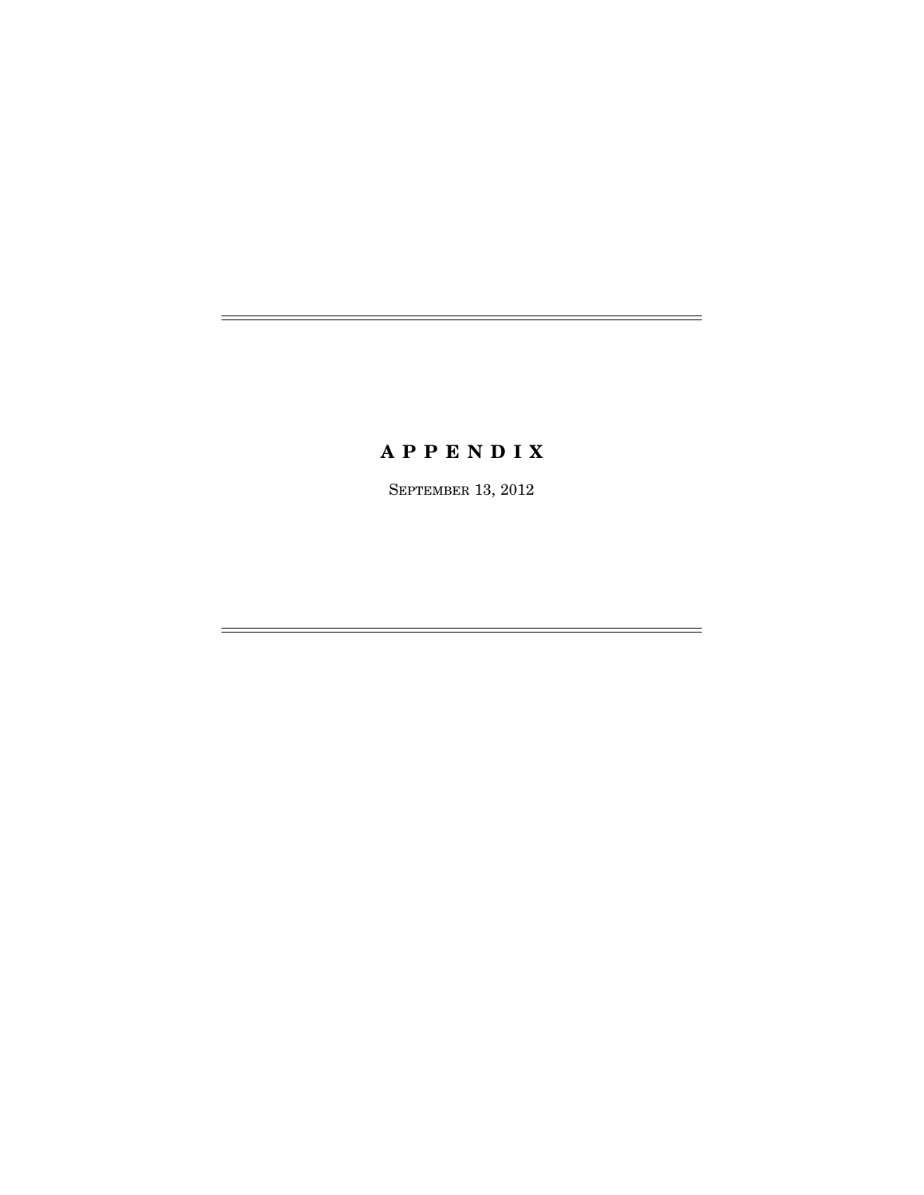# **A P P E N D I X**

SEPTEMBER 13, 2012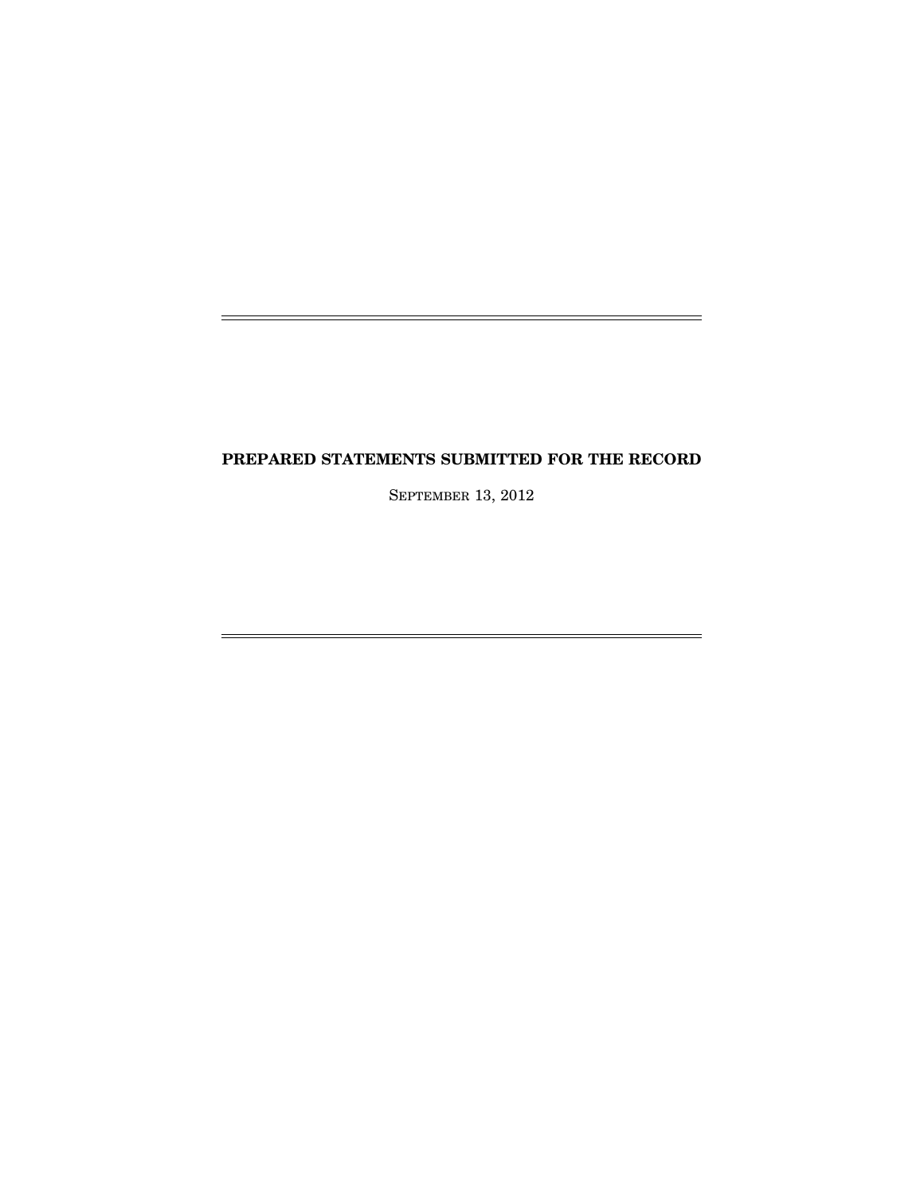# **PREPARED STATEMENTS SUBMITTED FOR THE RECORD**

L,

j.

SEPTEMBER 13, 2012

 $=$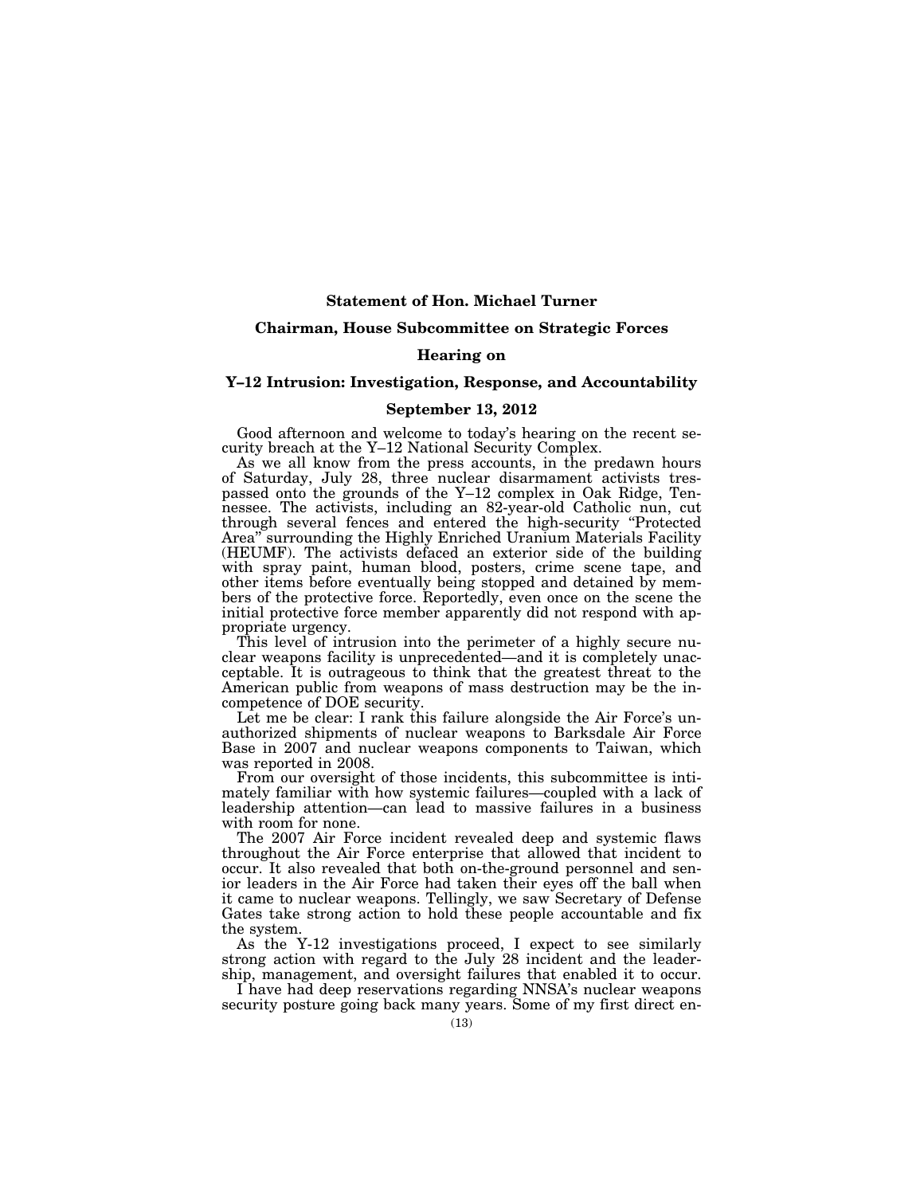#### **Statement of Hon. Michael Turner**

#### **Chairman, House Subcommittee on Strategic Forces**

#### **Hearing on**

### **Y–12 Intrusion: Investigation, Response, and Accountability**

#### **September 13, 2012**

Good afternoon and welcome to today's hearing on the recent security breach at the Y–12 National Security Complex.

As we all know from the press accounts, in the predawn hours of Saturday, July 28, three nuclear disarmament activists trespassed onto the grounds of the Y–12 complex in Oak Ridge, Tennessee. The activists, including an 82-year-old Catholic nun, cut through several fences and entered the high-security ''Protected Area'' surrounding the Highly Enriched Uranium Materials Facility (HEUMF). The activists defaced an exterior side of the building with spray paint, human blood, posters, crime scene tape, and other items before eventually being stopped and detained by members of the protective force. Reportedly, even once on the scene the initial protective force member apparently did not respond with appropriate urgency.

This level of intrusion into the perimeter of a highly secure nuclear weapons facility is unprecedented—and it is completely unacceptable. It is outrageous to think that the greatest threat to the American public from weapons of mass destruction may be the incompetence of DOE security.

Let me be clear: I rank this failure alongside the Air Force's unauthorized shipments of nuclear weapons to Barksdale Air Force Base in 2007 and nuclear weapons components to Taiwan, which was reported in 2008.

From our oversight of those incidents, this subcommittee is intimately familiar with how systemic failures—coupled with a lack of leadership attention—can lead to massive failures in a business with room for none.

The 2007 Air Force incident revealed deep and systemic flaws throughout the Air Force enterprise that allowed that incident to occur. It also revealed that both on-the-ground personnel and senior leaders in the Air Force had taken their eyes off the ball when it came to nuclear weapons. Tellingly, we saw Secretary of Defense Gates take strong action to hold these people accountable and fix the system.

As the Y-12 investigations proceed, I expect to see similarly strong action with regard to the July 28 incident and the leadership, management, and oversight failures that enabled it to occur.

I have had deep reservations regarding NNSA's nuclear weapons security posture going back many years. Some of my first direct en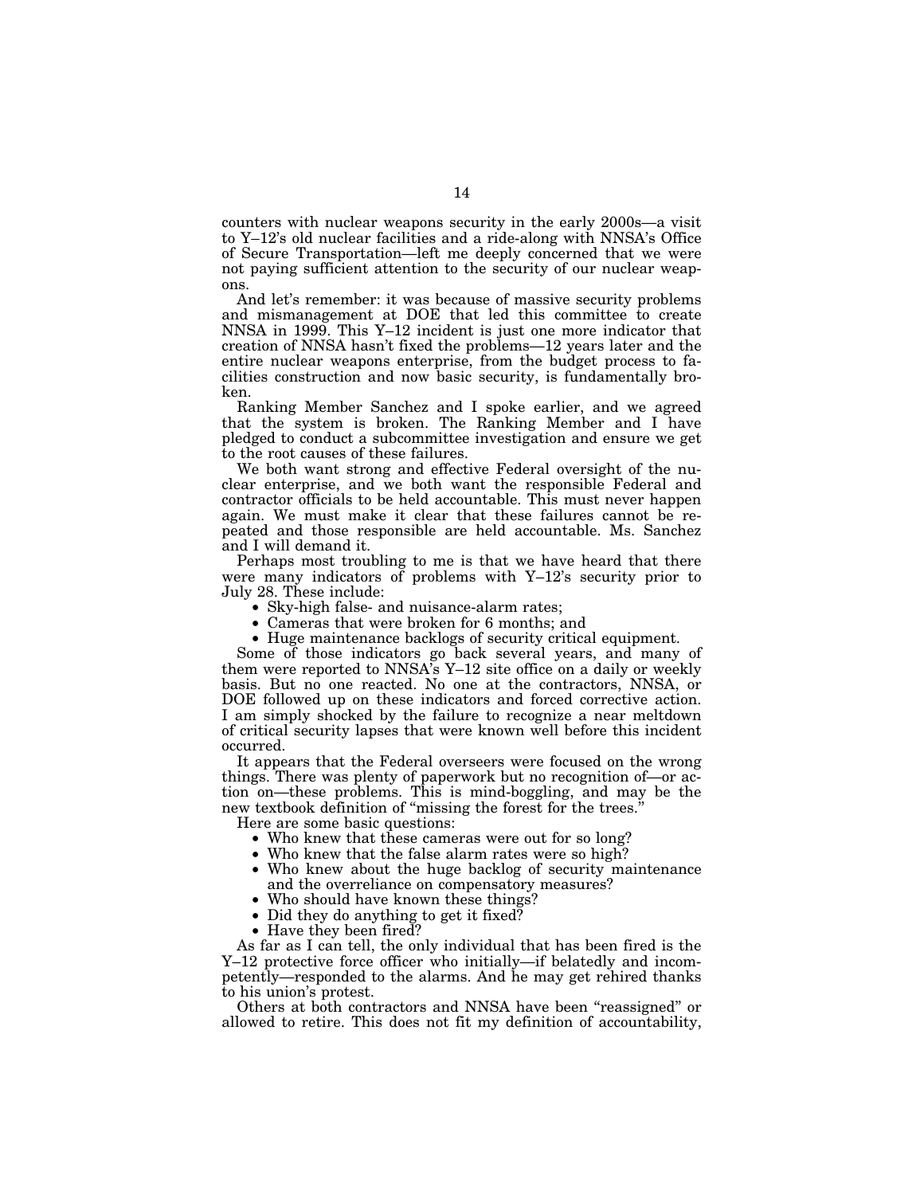counters with nuclear weapons security in the early 2000s—a visit to Y–12's old nuclear facilities and a ride-along with NNSA's Office of Secure Transportation—left me deeply concerned that we were not paying sufficient attention to the security of our nuclear weapons.

And let's remember: it was because of massive security problems and mismanagement at DOE that led this committee to create NNSA in 1999. This Y–12 incident is just one more indicator that creation of NNSA hasn't fixed the problems—12 years later and the entire nuclear weapons enterprise, from the budget process to facilities construction and now basic security, is fundamentally broken.

Ranking Member Sanchez and I spoke earlier, and we agreed that the system is broken. The Ranking Member and I have pledged to conduct a subcommittee investigation and ensure we get to the root causes of these failures.

We both want strong and effective Federal oversight of the nuclear enterprise, and we both want the responsible Federal and contractor officials to be held accountable. This must never happen again. We must make it clear that these failures cannot be repeated and those responsible are held accountable. Ms. Sanchez and I will demand it.

Perhaps most troubling to me is that we have heard that there were many indicators of problems with Y–12's security prior to July 28. These include:

- Sky-high false- and nuisance-alarm rates;
- Cameras that were broken for 6 months; and
- Huge maintenance backlogs of security critical equipment.

Some of those indicators go back several years, and many of them were reported to NNSA's Y–12 site office on a daily or weekly basis. But no one reacted. No one at the contractors, NNSA, or DOE followed up on these indicators and forced corrective action. I am simply shocked by the failure to recognize a near meltdown of critical security lapses that were known well before this incident occurred.

It appears that the Federal overseers were focused on the wrong things. There was plenty of paperwork but no recognition of—or action on—these problems. This is mind-boggling, and may be the new textbook definition of "missing the forest for the trees.

Here are some basic questions:

- Who knew that these cameras were out for so long?
- Who knew that the false alarm rates were so high?
- Who knew about the huge backlog of security maintenance and the overreliance on compensatory measures?
- Who should have known these things?
- Did they do anything to get it fixed?
- Have they been fired?

As far as I can tell, the only individual that has been fired is the Y–12 protective force officer who initially—if belatedly and incompetently—responded to the alarms. And he may get rehired thanks to his union's protest.

Others at both contractors and NNSA have been ''reassigned'' or allowed to retire. This does not fit my definition of accountability,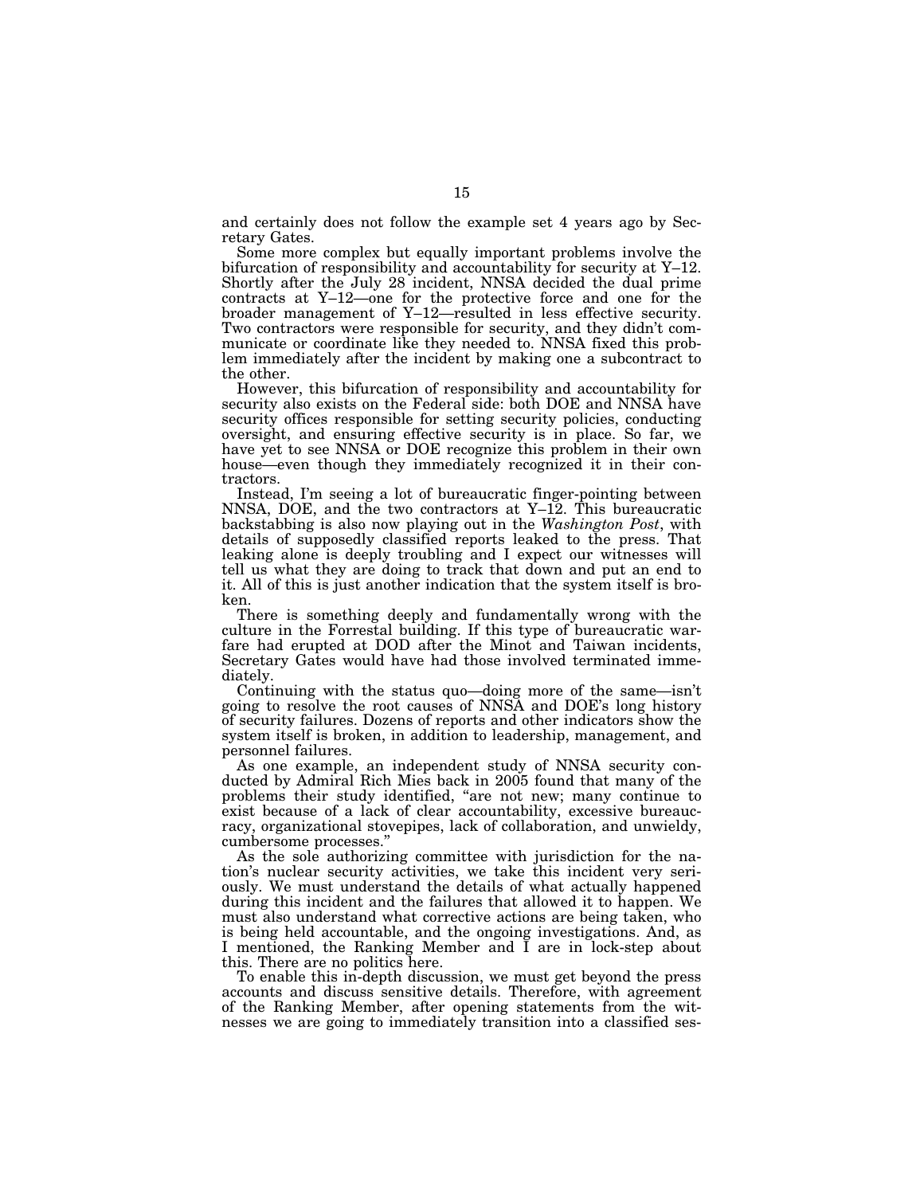and certainly does not follow the example set 4 years ago by Secretary Gates.

Some more complex but equally important problems involve the bifurcation of responsibility and accountability for security at Y–12. Shortly after the July 28 incident, NNSA decided the dual prime contracts at Y–12—one for the protective force and one for the broader management of Y–12—resulted in less effective security. Two contractors were responsible for security, and they didn't communicate or coordinate like they needed to. NNSA fixed this problem immediately after the incident by making one a subcontract to the other.

However, this bifurcation of responsibility and accountability for security also exists on the Federal side: both DOE and NNSA have security offices responsible for setting security policies, conducting oversight, and ensuring effective security is in place. So far, we have yet to see NNSA or DOE recognize this problem in their own house—even though they immediately recognized it in their contractors.

Instead, I'm seeing a lot of bureaucratic finger-pointing between NNSA, DOE, and the two contractors at Y–12. This bureaucratic backstabbing is also now playing out in the *Washington Post*, with details of supposedly classified reports leaked to the press. That leaking alone is deeply troubling and I expect our witnesses will tell us what they are doing to track that down and put an end to it. All of this is just another indication that the system itself is broken.

There is something deeply and fundamentally wrong with the culture in the Forrestal building. If this type of bureaucratic warfare had erupted at DOD after the Minot and Taiwan incidents, Secretary Gates would have had those involved terminated immediately.

Continuing with the status quo—doing more of the same—isn't going to resolve the root causes of NNSA and DOE's long history of security failures. Dozens of reports and other indicators show the system itself is broken, in addition to leadership, management, and personnel failures.

As one example, an independent study of NNSA security conducted by Admiral Rich Mies back in 2005 found that many of the problems their study identified, ''are not new; many continue to exist because of a lack of clear accountability, excessive bureaucracy, organizational stovepipes, lack of collaboration, and unwieldy, cumbersome processes.''

As the sole authorizing committee with jurisdiction for the nation's nuclear security activities, we take this incident very seriously. We must understand the details of what actually happened during this incident and the failures that allowed it to happen. We must also understand what corrective actions are being taken, who is being held accountable, and the ongoing investigations. And, as I mentioned, the Ranking Member and I are in lock-step about this. There are no politics here.

To enable this in-depth discussion, we must get beyond the press accounts and discuss sensitive details. Therefore, with agreement of the Ranking Member, after opening statements from the witnesses we are going to immediately transition into a classified ses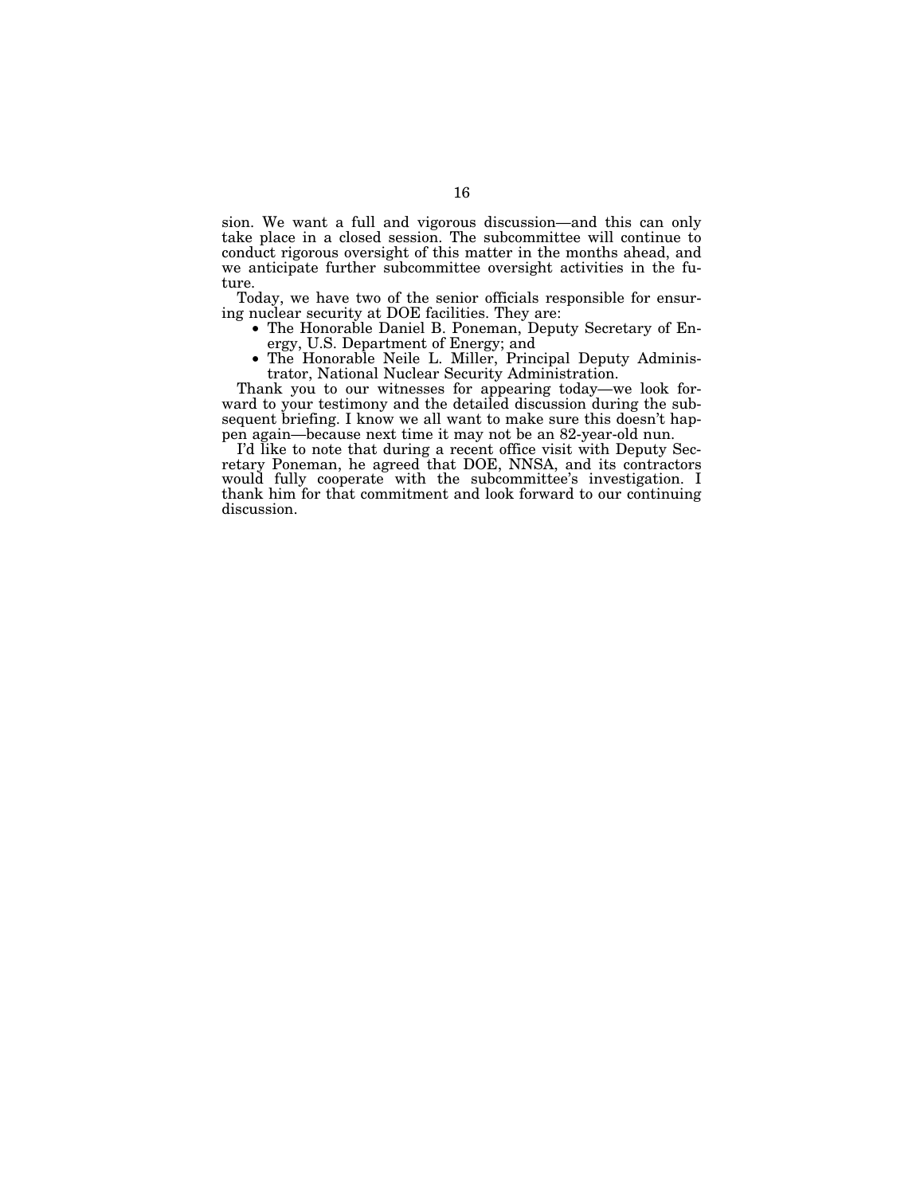sion. We want a full and vigorous discussion—and this can only take place in a closed session. The subcommittee will continue to conduct rigorous oversight of this matter in the months ahead, and we anticipate further subcommittee oversight activities in the future.

Today, we have two of the senior officials responsible for ensuring nuclear security at DOE facilities. They are:

- The Honorable Daniel B. Poneman, Deputy Secretary of Energy, U.S. Department of Energy; and
- The Honorable Neile L. Miller, Principal Deputy Administrator, National Nuclear Security Administration.

Thank you to our witnesses for appearing today—we look forward to your testimony and the detailed discussion during the subsequent briefing. I know we all want to make sure this doesn't happen again—because next time it may not be an 82-year-old nun.

I'd like to note that during a recent office visit with Deputy Secretary Poneman, he agreed that DOE, NNSA, and its contractors would fully cooperate with the subcommittee's investigation. I thank him for that commitment and look forward to our continuing discussion.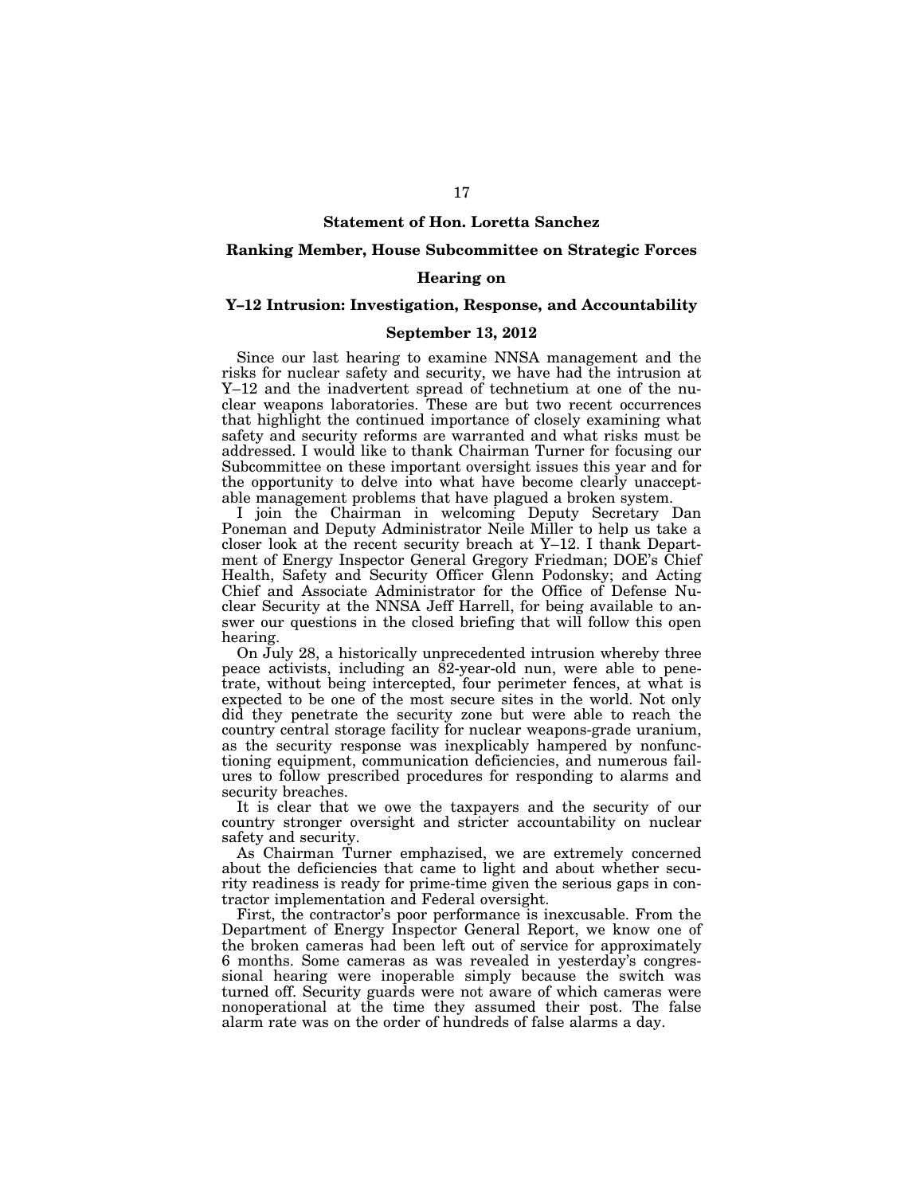#### **Statement of Hon. Loretta Sanchez**

#### **Ranking Member, House Subcommittee on Strategic Forces**

#### **Hearing on**

### **Y–12 Intrusion: Investigation, Response, and Accountability**

#### **September 13, 2012**

Since our last hearing to examine NNSA management and the risks for nuclear safety and security, we have had the intrusion at Y–12 and the inadvertent spread of technetium at one of the nuclear weapons laboratories. These are but two recent occurrences that highlight the continued importance of closely examining what safety and security reforms are warranted and what risks must be addressed. I would like to thank Chairman Turner for focusing our Subcommittee on these important oversight issues this year and for the opportunity to delve into what have become clearly unacceptable management problems that have plagued a broken system.

I join the Chairman in welcoming Deputy Secretary Dan Poneman and Deputy Administrator Neile Miller to help us take a closer look at the recent security breach at Y–12. I thank Department of Energy Inspector General Gregory Friedman; DOE's Chief Health, Safety and Security Officer Glenn Podonsky; and Acting Chief and Associate Administrator for the Office of Defense Nuclear Security at the NNSA Jeff Harrell, for being available to answer our questions in the closed briefing that will follow this open hearing.

On July 28, a historically unprecedented intrusion whereby three peace activists, including an 82-year-old nun, were able to penetrate, without being intercepted, four perimeter fences, at what is expected to be one of the most secure sites in the world. Not only did they penetrate the security zone but were able to reach the country central storage facility for nuclear weapons-grade uranium, as the security response was inexplicably hampered by nonfunctioning equipment, communication deficiencies, and numerous failures to follow prescribed procedures for responding to alarms and security breaches.

It is clear that we owe the taxpayers and the security of our country stronger oversight and stricter accountability on nuclear safety and security.

As Chairman Turner emphazised, we are extremely concerned about the deficiencies that came to light and about whether security readiness is ready for prime-time given the serious gaps in contractor implementation and Federal oversight.

First, the contractor's poor performance is inexcusable. From the Department of Energy Inspector General Report, we know one of the broken cameras had been left out of service for approximately 6 months. Some cameras as was revealed in yesterday's congressional hearing were inoperable simply because the switch was turned off. Security guards were not aware of which cameras were nonoperational at the time they assumed their post. The false alarm rate was on the order of hundreds of false alarms a day.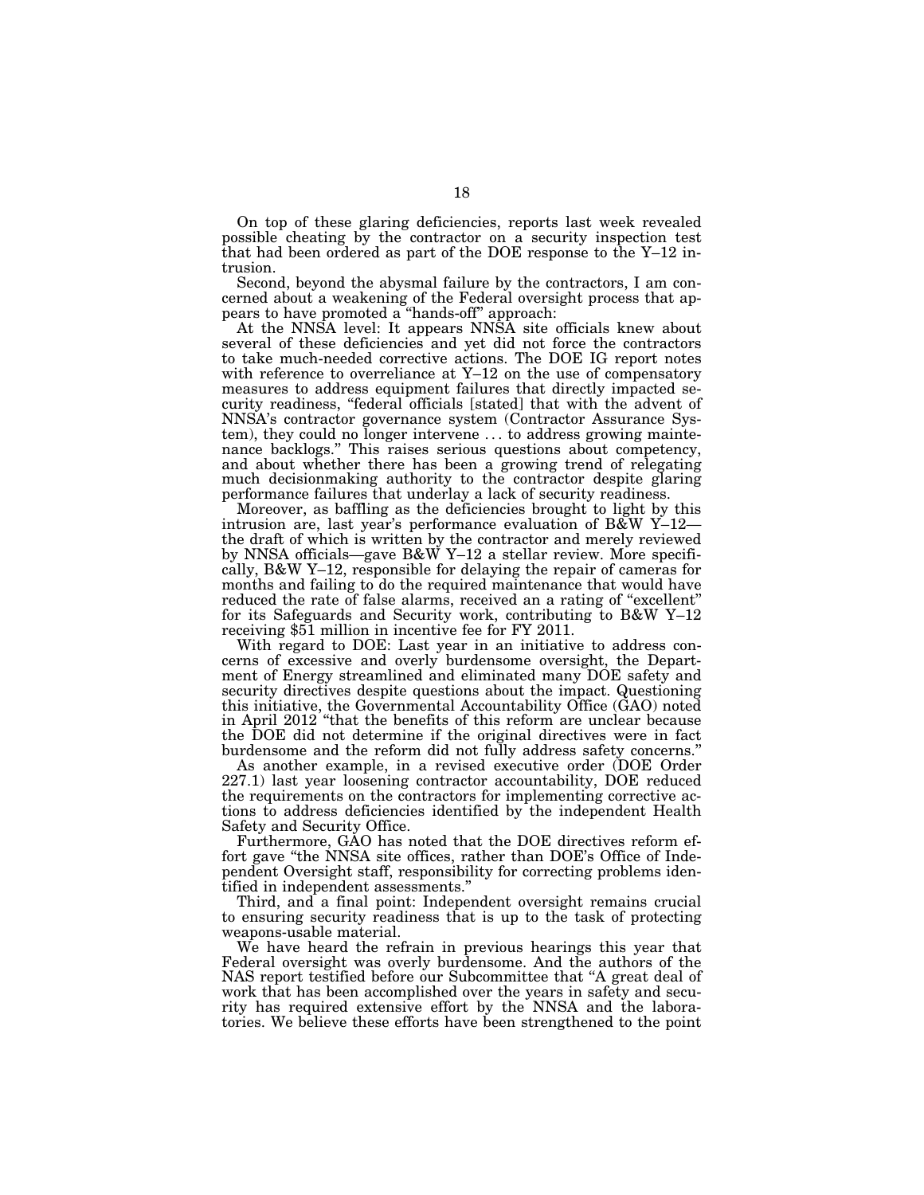On top of these glaring deficiencies, reports last week revealed possible cheating by the contractor on a security inspection test that had been ordered as part of the DOE response to the Y–12 intrusion.

Second, beyond the abysmal failure by the contractors, I am concerned about a weakening of the Federal oversight process that appears to have promoted a ''hands-off'' approach:

At the NNSA level: It appears NNSA site officials knew about several of these deficiencies and yet did not force the contractors to take much-needed corrective actions. The DOE IG report notes with reference to overreliance at Y–12 on the use of compensatory measures to address equipment failures that directly impacted security readiness, "federal officials [stated] that with the advent of NNSA's contractor governance system (Contractor Assurance System), they could no longer intervene . . . to address growing maintenance backlogs.'' This raises serious questions about competency, and about whether there has been a growing trend of relegating much decisionmaking authority to the contractor despite glaring performance failures that underlay a lack of security readiness.

Moreover, as baffling as the deficiencies brought to light by this intrusion are, last year's performance evaluation of B&W Y–12 the draft of which is written by the contractor and merely reviewed by NNSA officials—gave B&W Y-12 a stellar review. More specifically, B&W Y–12, responsible for delaying the repair of cameras for months and failing to do the required maintenance that would have reduced the rate of false alarms, received an a rating of "excellent" for its Safeguards and Security work, contributing to B&W Y–12 receiving \$51 million in incentive fee for FY 2011.

With regard to DOE: Last year in an initiative to address concerns of excessive and overly burdensome oversight, the Department of Energy streamlined and eliminated many DOE safety and security directives despite questions about the impact. Questioning this initiative, the Governmental Accountability Office (GAO) noted in April 2012 ''that the benefits of this reform are unclear because the DOE did not determine if the original directives were in fact burdensome and the reform did not fully address safety concerns.''

As another example, in a revised executive order (DOE Order 227.1) last year loosening contractor accountability, DOE reduced the requirements on the contractors for implementing corrective actions to address deficiencies identified by the independent Health Safety and Security Office.

Furthermore, GAO has noted that the DOE directives reform effort gave "the NNSA site offices, rather than DOE's Office of Independent Oversight staff, responsibility for correcting problems identified in independent assessments.''

Third, and a final point: Independent oversight remains crucial to ensuring security readiness that is up to the task of protecting weapons-usable material.

We have heard the refrain in previous hearings this year that Federal oversight was overly burdensome. And the authors of the NAS report testified before our Subcommittee that ''A great deal of work that has been accomplished over the years in safety and security has required extensive effort by the NNSA and the laboratories. We believe these efforts have been strengthened to the point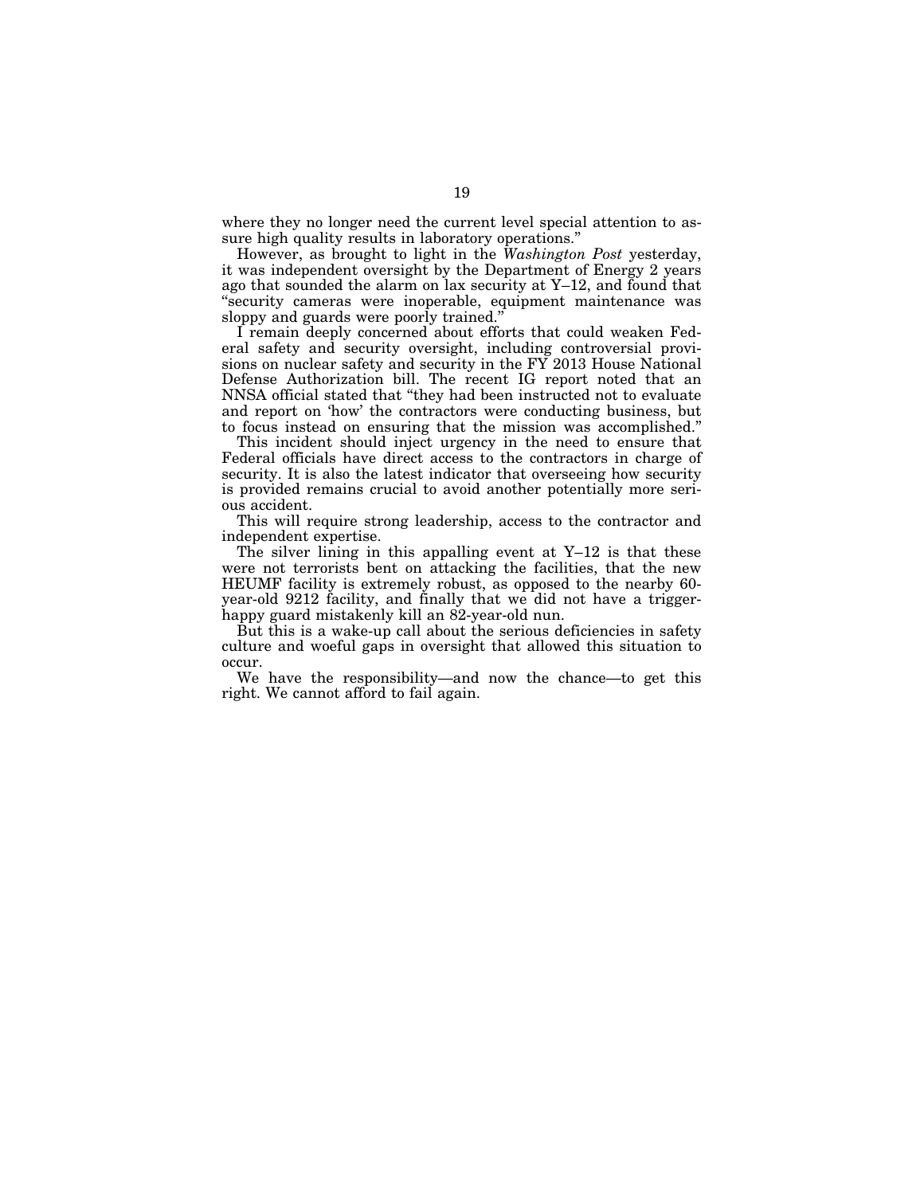where they no longer need the current level special attention to assure high quality results in laboratory operations.''

However, as brought to light in the *Washington Post* yesterday, it was independent oversight by the Department of Energy 2 years ago that sounded the alarm on lax security at Y–12, and found that ''security cameras were inoperable, equipment maintenance was sloppy and guards were poorly trained.''

I remain deeply concerned about efforts that could weaken Federal safety and security oversight, including controversial provisions on nuclear safety and security in the FY 2013 House National Defense Authorization bill. The recent IG report noted that an NNSA official stated that ''they had been instructed not to evaluate and report on 'how' the contractors were conducting business, but to focus instead on ensuring that the mission was accomplished.''

This incident should inject urgency in the need to ensure that Federal officials have direct access to the contractors in charge of security. It is also the latest indicator that overseeing how security is provided remains crucial to avoid another potentially more serious accident.

This will require strong leadership, access to the contractor and independent expertise.

The silver lining in this appalling event at Y–12 is that these were not terrorists bent on attacking the facilities, that the new HEUMF facility is extremely robust, as opposed to the nearby 60 year-old 9212 facility, and finally that we did not have a triggerhappy guard mistakenly kill an 82-year-old nun.

But this is a wake-up call about the serious deficiencies in safety culture and woeful gaps in oversight that allowed this situation to occur.

We have the responsibility—and now the chance—to get this right. We cannot afford to fail again.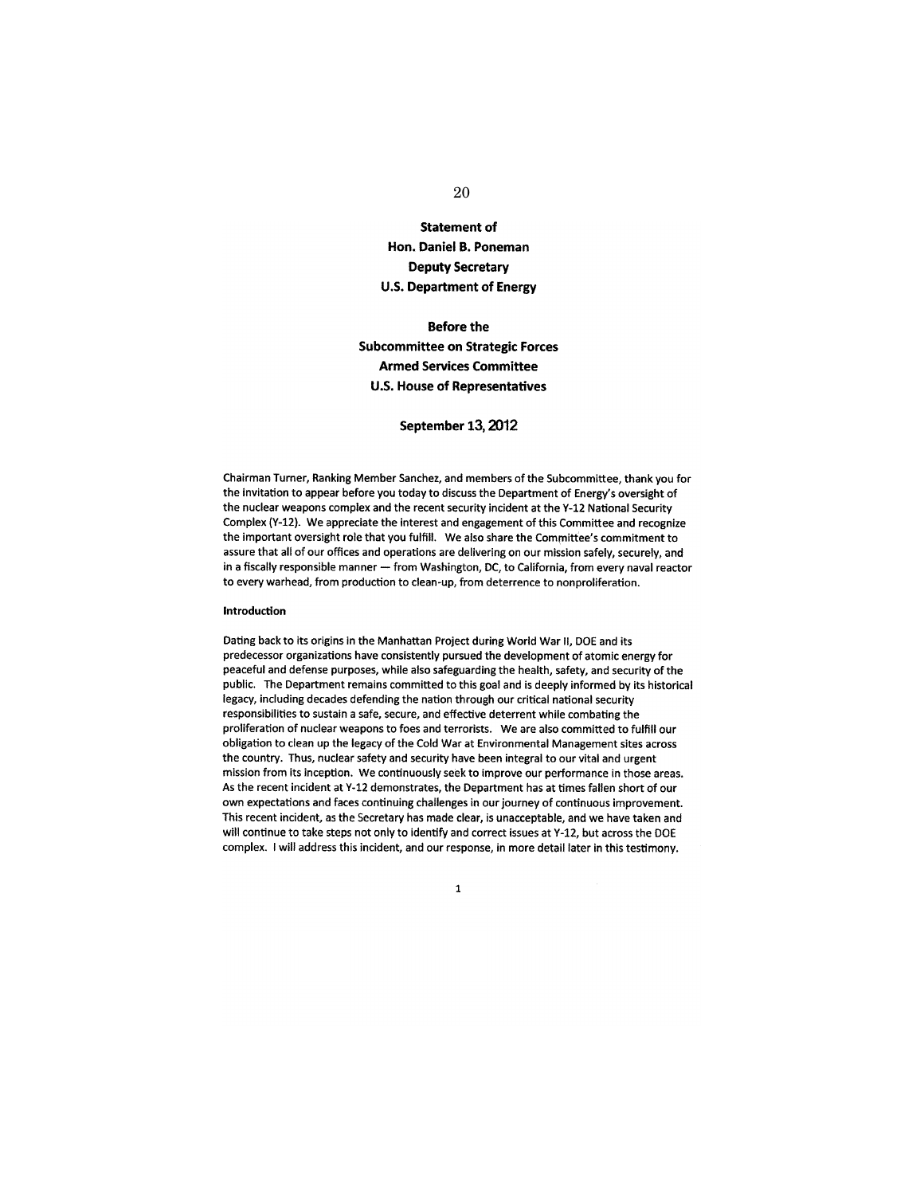# 20

# **Statement of Hon. Daniel B. Poneman Deputy Secretary U.S. Department of Energy**

# Before the **Subcommittee on Strategic Forces Armed Services Committee U.S. House of Representatives**

#### **September 13,2012**

Chairman Turner, Ranking Member Sanchez, and members of the Subcommittee, thank you for the invitation to appear before you today to discuss the Department of Energy's oversight of the nuclear weapons complex and the recent security incident at the Y-12 National Security Complex (Y-12). We appreciate the interest and engagement of this Committee and recognize the important oversight role that you fulfill. We also share the Committee's commitment to assure that all of our offices and operations are delivering on our mission safely, securely, and in a fiscally responsible manner - from Washington, DC, to California, from every naval reactor to every warhead, from production to clean-up, from deterrence to nonproliferation.

#### Introduction

Dating back to its origins in the Manhattan Project during World War II, DOE and its predecessor organizations have consistently pursued the development of atomic energy for peaceful and defense purposes, while also safeguarding the health, safety, and security of the public. The Department remains committed to this goal and is deeply informed by its historical legacy, including decades defending the nation through our critical national security responsibilities to sustain a safe, secure, and effective deterrent while combating the proliferation of nuclear weapons to foes and terrorists. We are also committed to fulfill our obligation to clean up the legacy of the Cold War at Environmental Management sites across the country. Thus, nuclear safety and security have been integral to our vital and urgent mission from its inception. We continuously seek to improve our performance in those areas. As the recent incident at Y-12 demonstrates, the Department has at times fallen short of our own expectations and faces continuing challenges in our journey of continuous improvement. This recent incident, as the Secretary has made clear, is unacceptable, and we have taken and will continue to take steps not only to identify and correct issues at Y -12, but across the DOE complex. I will address this incident, and our response, in more detail later in this testimony.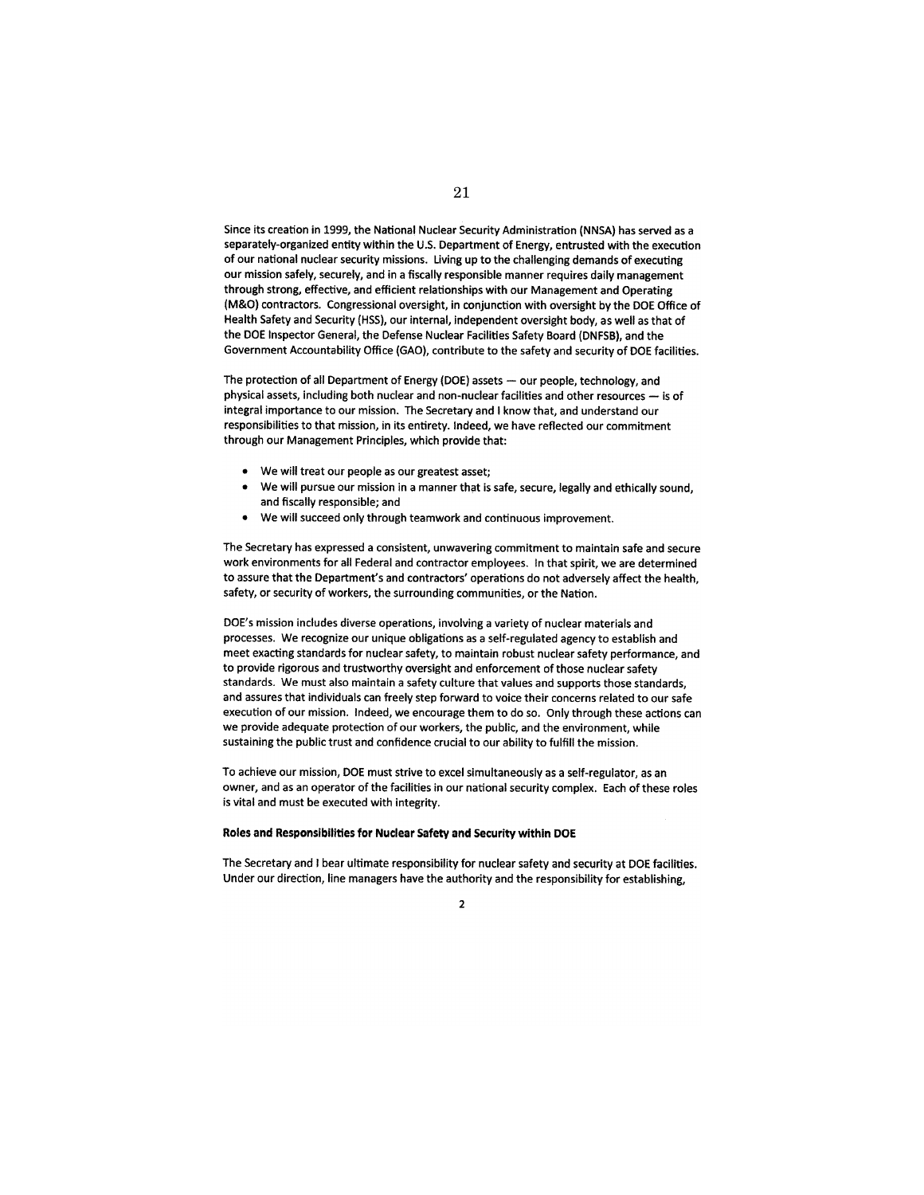Since its creation in 1999, the National Nuclear Security Administration (NNSA) has served as a separately-organized entity within the U.S. Department of Energy, entrusted with the execution of our national nuclear security missions. Living up to the challenging demands of executing our mission safely, securely, and in a fiscally responsible manner requires daily management through strong, effective, and efficient relationships with our Management and Operating (M&O) contractors. Congressional oversight, in conjunction with oversight by the DOE Office of Health Safety and Security (HSS), our internal, independent oversight body, as well as that of the DOE Inspector General, the Defense Nuclear Facilities Safety Board (DNFSB), and the Government Accountability Office (GAO), contribute to the safety and security of DOE facilities.

The protection of all Department of Energy (DOE) assets - our people, technology, and physical assets, including both nuclear and non-nuclear facilities and other resources  $-$  is of integral importance to our mission. The Secretary and I know that, and understand our responsibilities to that mission, in its entirety. Indeed, we have reflected our commitment through our Management Principles, which provide that:

- We will treat our people as our greatest asset;
- We will pursue our mission in a manner that is safe, secure, legally and ethically sound, and fiscally responsible; and
- We will succeed only through teamwork and continuous improvement.

The Secretary has expressed a consistent, unwavering commitment to maintain safe and secure work environments for all Federal and contractor employees. In that spirit, we are determined to assure that the Department's and contractors' operations do not adversely affect the health, safety, or security of workers, the surrounding communities, or the Nation.

DOE's mission includes diverse operations, involving a variety of nuclear materials and processes. We recognize our unique obligations as a self-regulated agency to establish and meet exacting standards for nuclear safety, to maintain robust nuclear safety performance, and to provide rigorous and trustworthy oversight and enforcement of those nuclear safety standards. We must also maintain a safety culture that values and supports those standards, and assures that individuals can freely step forward to voice their concerns related to our safe execution of our mission. Indeed, we encourage them to do so. Only through these actions can we provide adequate protection of our workers, the public, and the environment, while sustaining the public trust and confidence crucial to our ability to fulfill the mission.

To achieve our mission, DOE must strive to excel simultaneously as a self-regulator, as an owner, and as an operator of the facilities in our national security complex. Each of these roles is vital and must be executed with integrity.

#### **Roles and Responsibilities for Nuclear Safety and Security within** DOE

The Secretary and I bear ultimate responsibility for nuclear safety and security at DOE facilities. Under our direction, line managers have the authority and the responsibility for establishing,

 $\overline{2}$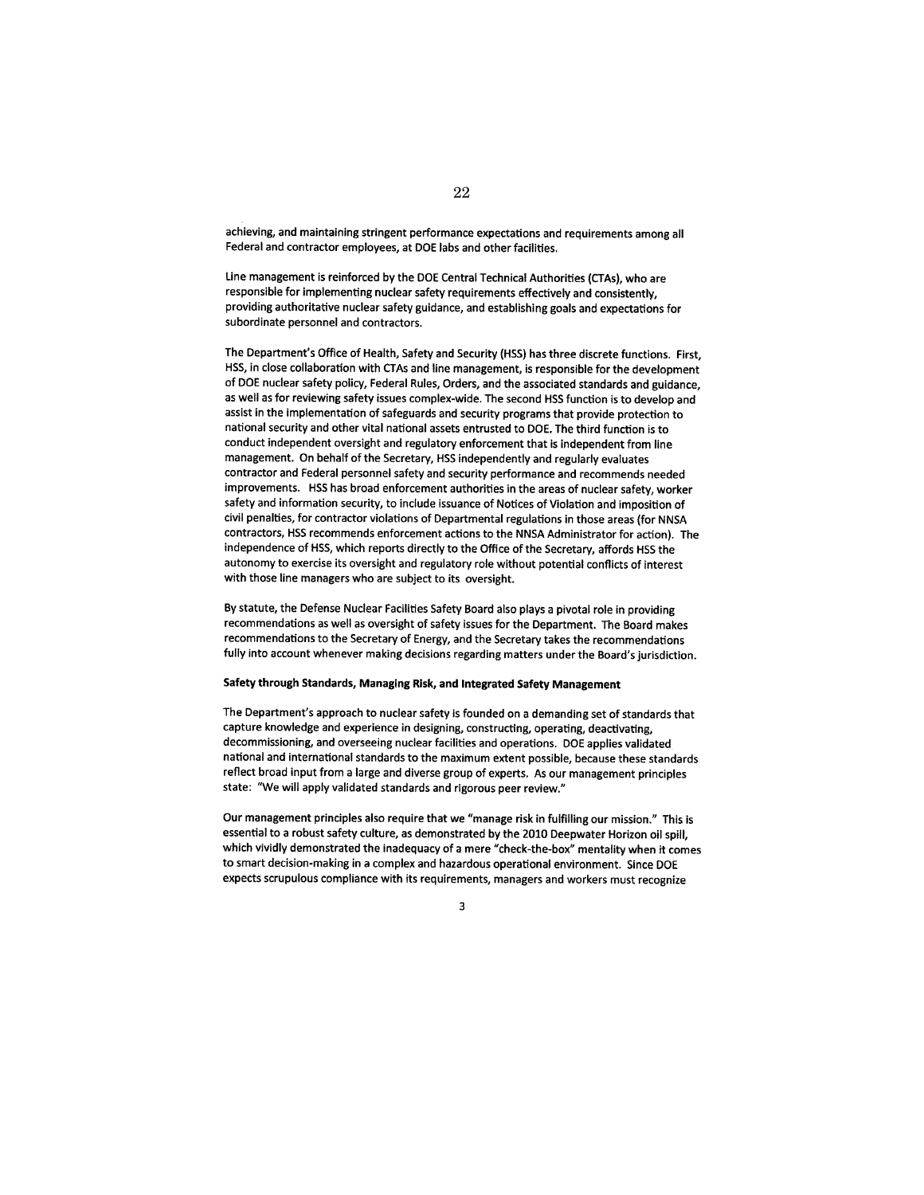achieving, and maintaining stringent performance expectations and requirements among all Federal and contractor employees, at DOE labs and other facilities.

line management is reinforced by the DOE Central Technical Authorities (CTAs), who are responsible for implementing nuclear safety requirements effectively and consistently, providing authoritative nuclear safety guidance, and establishing goals and expectations for subordinate personnel and contractors.

The Department's Office of Health, Safety and Security (HSS) has three discrete functions. First, HSS, in close collaboration with CTAs and line management, is responsible for the development of DOE nuclear safety policy, Federal Rules, Orders, and the associated standards and guidance, as well as for reviewing safety issues complex-wide. The second HSS function is to develop and assist in the implementation of safeguards and security programs that provide protection to national security and other vital national assets entrusted to DOE. The third function is to conduct independent oversight and regulatory enforcement that is independent from line management. On behalf of the Secretary, HSS independently and regularly evaluates contractor and Federal personnel safety and security performance and recommends needed improvements. HSS has broad enforcement authorities in the areas of nuclear safety, worker safety and information security, to include issuance of Notices of Violation and imposition of civil penalties, for contractor violations of Departmental regulations in those areas (for NNSA contractors, HSS recommends enforcement actions to the NNSA Administrator for action). The independence of HSS, which reports directly to the Office of the Secretary, affords HSS the autonomy to exercise its oversight and regulatory role without potential conflicts of interest with those line managers who are subject to its oversight.

By statute, the Defense Nuclear Facilities Safety Board also plays a pivotal role in providing recommendations as well as oversight of safety issues for the Department. The Board makes recommendations to the Secretary of Energy, and the Secretary takes the recommendations fully into account whenever making decisions regarding matters under the Board's jurisdiction.

#### Safety through Standards, Managing Risk, and Integrated Safety Management

The Department's approach to nuclear safety is founded on a demanding set of standards that capture knowledge and experience in designing, constructing, operating, deactivating, decommissioning, and overseeing nuclear facilities and operations. DOE applies validated national and international standards to the maximum extent possible, because these standards reflect broad input from a large and diverse group of experts. As our management principles state: "We will apply validated standards and rigorous peer review."

Our management principles also require that we "manage risk in fulfilling our mission." This is essential to a robust safety culture, as demonstrated by the 2010 Deepwater Horizon oil spill, which vividly demonstrated the inadequacy of a mere "check-the-box" mentality when it comes to smart decision-making in a complex and hazardous operational environment. Since DOE expects scrupulous compliance with its requirements, managers and workers must recognize

3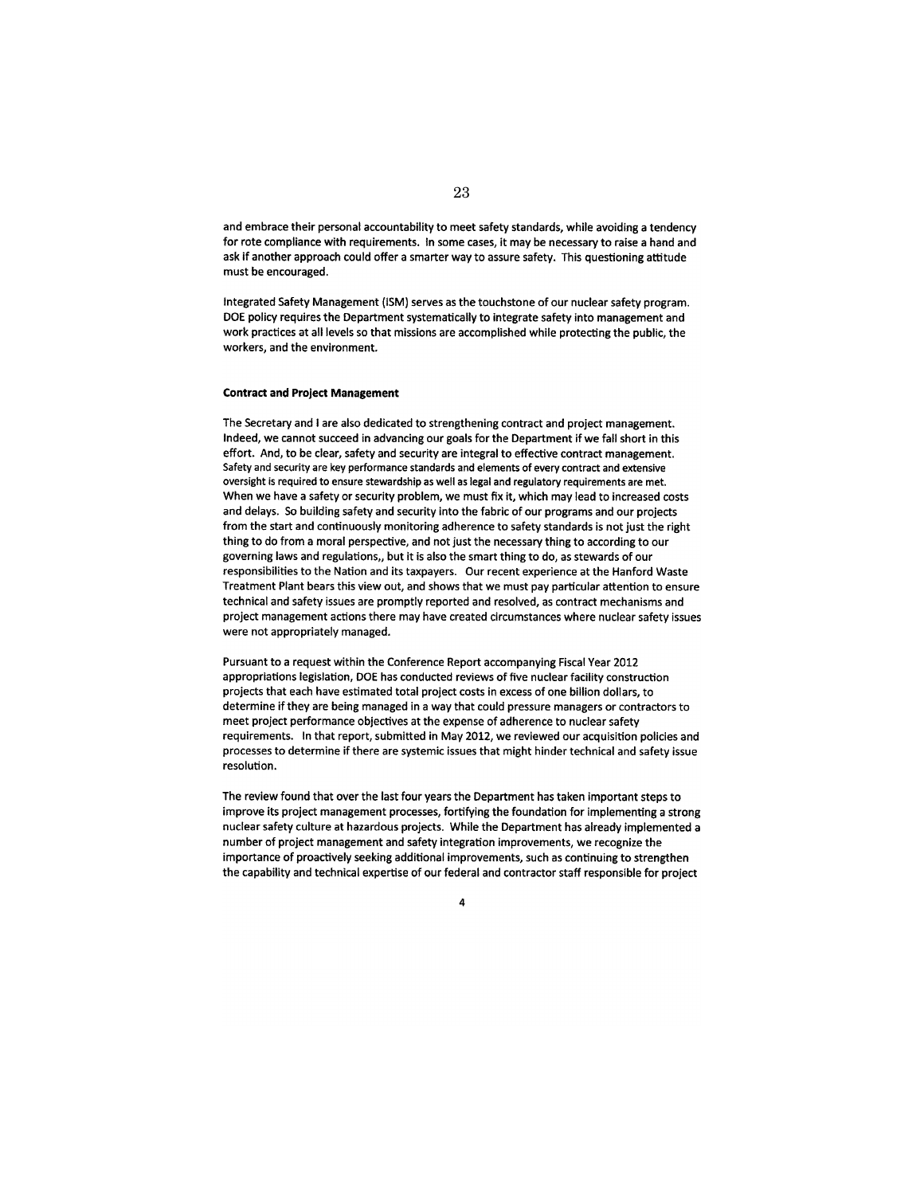and embrace their personal accountability to meet safety standards, while avoiding a tendency for rote compliance with requirements. In some cases, it may be necessary to raise a hand and ask if another approach could offer a smarter way to assure safety. This questioning attitude must be encouraged.

Integrated Safety Management (ISM) serves as the touchstone of our nuclear safety program. DOE policy requires the Department systematically to integrate safety into management and work practices at all levels so that missions are accomplished while protecting the public, the workers, and the environment.

#### **Contract and Project Management**

The Secretary and I are also dedicated to strengthening contract and project management. Indeed, we cannot succeed in advancing our goals for the Department if we fall short in this effort. And, to be clear, safety and security are integral to effective contract management. Safety and security are key performance standards and elements of every contract and extensive oversight is required to ensure stewardship as well as legal and regulatory requirements are met. When we have a safety or security problem, we must fix it, which may lead to increased costs and delays. So building safety and security into the fabric of our programs and our projects from the start and continuously monitoring adherence to safety standards is not just the right thing to do from a moral perspective, and not just the necessary thing to according to our governing laws and regulations,, but it is also the smart thing to do, as stewards of our responsibilities to the Nation and its taxpayers. Our recent experience at the Hanford Waste Treatment Plant bears this view out, and shows that we must pay particular attention to ensure technical and safety issues are promptly reported and resolved, as contract mechanisms and project management actions there may have created circumstances where nuclear safety issues were not appropriately managed.

Pursuant to a request within the Conference Report accompanying Fiscal Year 2012 appropriations legislation, DOE has conducted reviews of five nuclear facility construction projects that each have estimated total project costs in excess of one billion dollars, to determine if they are being managed in a way that could pressure managers or contractors to meet project performance objectives at the expense of adherence to nuclear safety requirements. In that report, submitted in May 2012, we reviewed our acquisition policies and processes to determine if there are systemic issues that might hinder technical and safety issue resolution.

The review found that over the last four years the Department has taken important steps to improve its project management processes, fortifying the foundation for implementing a strong nuclear safety culture at hazardous projects. While the Department has already implemented a number of project management and safety integration improvements, we recognize the importance of proactively seeking additional improvements, such as continuing to strengthen the capability and technical expertise of our federal and contractor staff responsible for project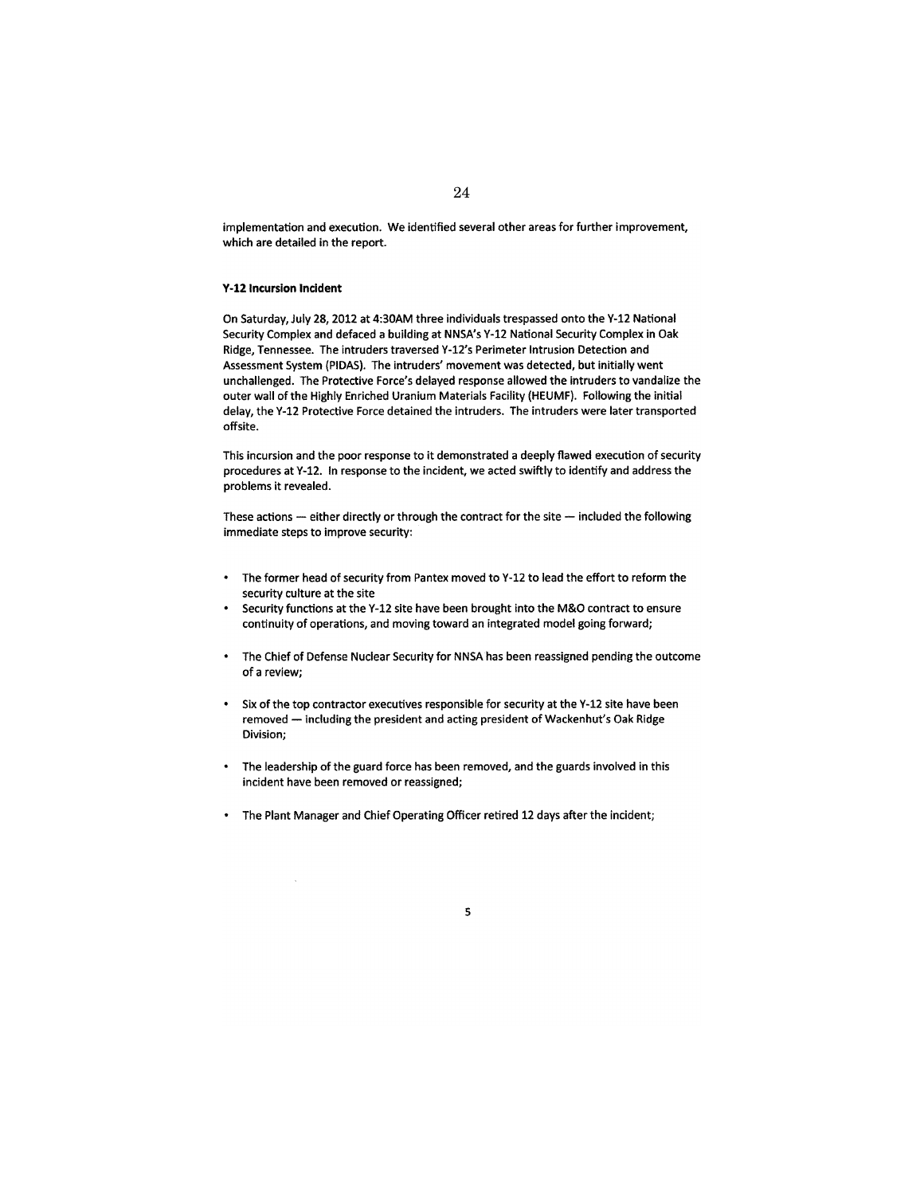implementation and execution. We identified several other areas for further improvement, which are detailed in the report.

#### Y-12 Incursion **Incident**

On Saturday, July 28, 2012 at 4:30AM three individuals trespassed onto the Y-12 National Security Complex and defaced a building at NNSA's Y-12 National Security Complex **in** Oak Ridge, Tennessee. The intruders traversed Y-12's Perimeter Intrusion Detection and Assessment System (PIDAS). The intruders' movement was detected, but initially went unchallenged. The Protective Force's delayed response allowed the intruders to vandalize the outer wall of the Highly Enriched Uranium Materials Facility (HEUMF). Following the initial delay, the Y-12 Protective Force detained the intruders. The intruders were later transported offsite.

This incursion and the poor response to it demonstrated a deeply flawed execution of security procedures at Y-12. In response to the incident, we acted swiftly to identify and address the problems it revealed.

These actions  $-$  either directly or through the contract for the site  $-$  included the following immediate steps to improve security:

- The former head of security from Pantex moved to Y-12 to lead the effort to reform the security culture at the site
- Security functions at the Y-12 site have been brought into the M&O contract to ensure continuity of operations, and moving toward an integrated model going forward;
- $\ddot{\phantom{0}}$ The Chief of Defense Nuclear Security for NNSA has been reassigned pending the outcome of a review;
- Six of the top contractor executives responsible for security at the Y-l2 site have been  $\ddot{\phantom{a}}$ removed - including the president and acting president of Wackenhut's Oak Ridge Division;
- The leadership of the guard force has been removed, and the guards involved in this incident have been removed or reassigned;
- The Plant Manager and Chief Operating Officer retired 12 days after the incident;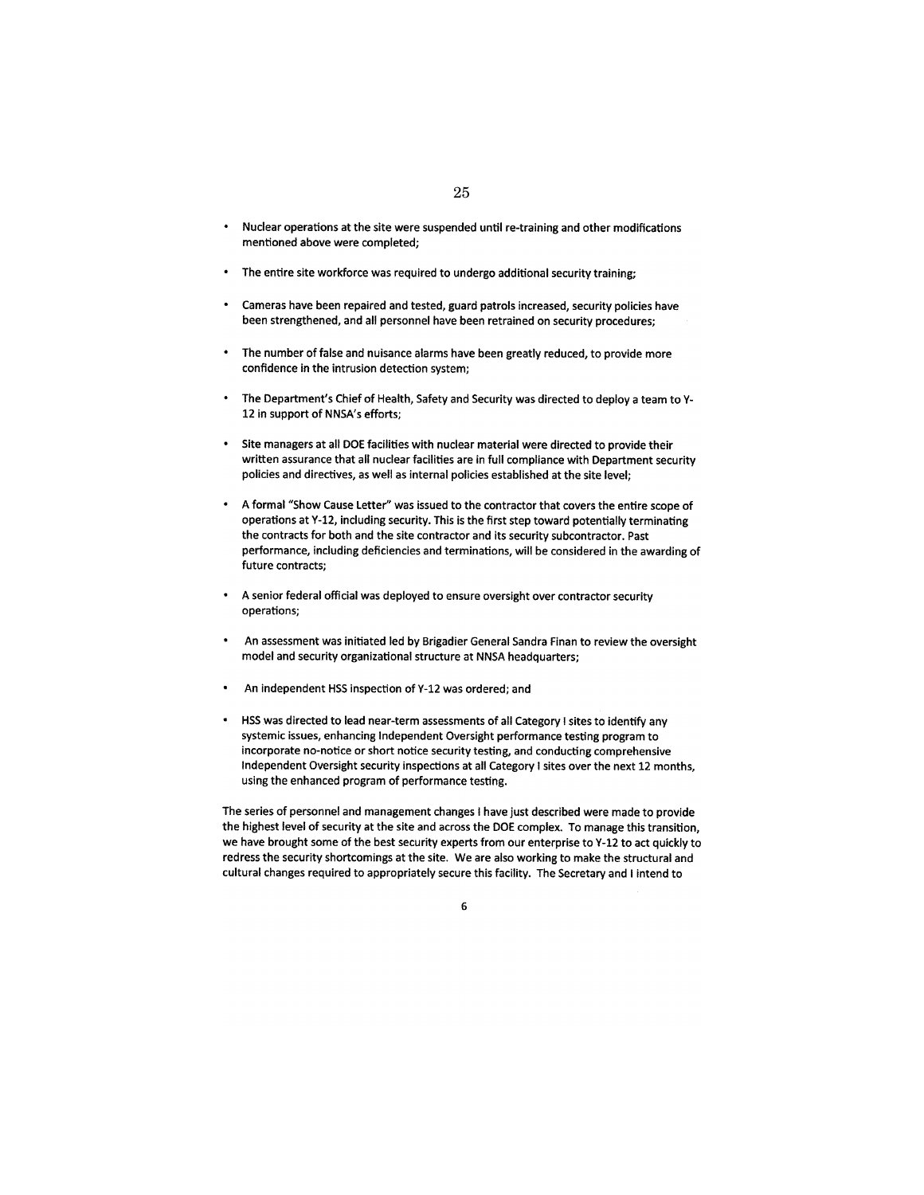- Nuclear operations at the site were suspended until re-training and other modifications mentioned above were completed;
- The entire site workforce was required to undergo additional security training;
- Cameras have been repaired and tested, guard patrols increased, security policies have been strengthened, and all personnel have been retrained on security procedures;
- The number of false and nuisance alarms have been greatly reduced, to provide more confidence in the intrusion detection system;
- The Department's Chief of Health, Safety and Security was directed to deploy a team to Y-12 in support of NNSA's efforts;
- Site managers at all DOE facilities with nuclear material were directed to provide their written assurance that all nuclear facilities are in full compliance with Department security policies and directives, as well as internal policies established at the site level;
- A formal "Show Cause letter" was issued to the contractor that covers the entire scope of operations at Y-12, including security. This is the first step toward potentially terminating the contracts for both and the site contractor and its security subcontractor. Past performance, including deficiencies and terminations, will be considered in the awarding of future contracts;
- A senior federal official was deployed to ensure oversight over contractor security operations;
- An assessment was initiated led by Brigadier General Sandra Finan to review the oversight model and security organizational structure at NNSA headquarters;
- An independent HSS inspection of Y-12 was ordered; and
- HSS was directed to lead near-term assessments of all Category I sites to identify any systemic issues, enhancing Independent Oversight performance testing program to incorporate no-notice or short notice security testing, and conducting comprehensive Independent Oversight security inspections at all Category I sites over the next 12 months, using the enhanced program of performance testing.

The series of personnel and management changes I have just described were made to provide the highest level of security at the site and across the DOE complex. To manage this transition, we have brought some of the best security experts from our enterprise to Y-12 to act quickly to redress the security shortcomings at the site. We are also working to make the structural and cultural changes required to appropriately secure this facility. The Secretary and I intend to

6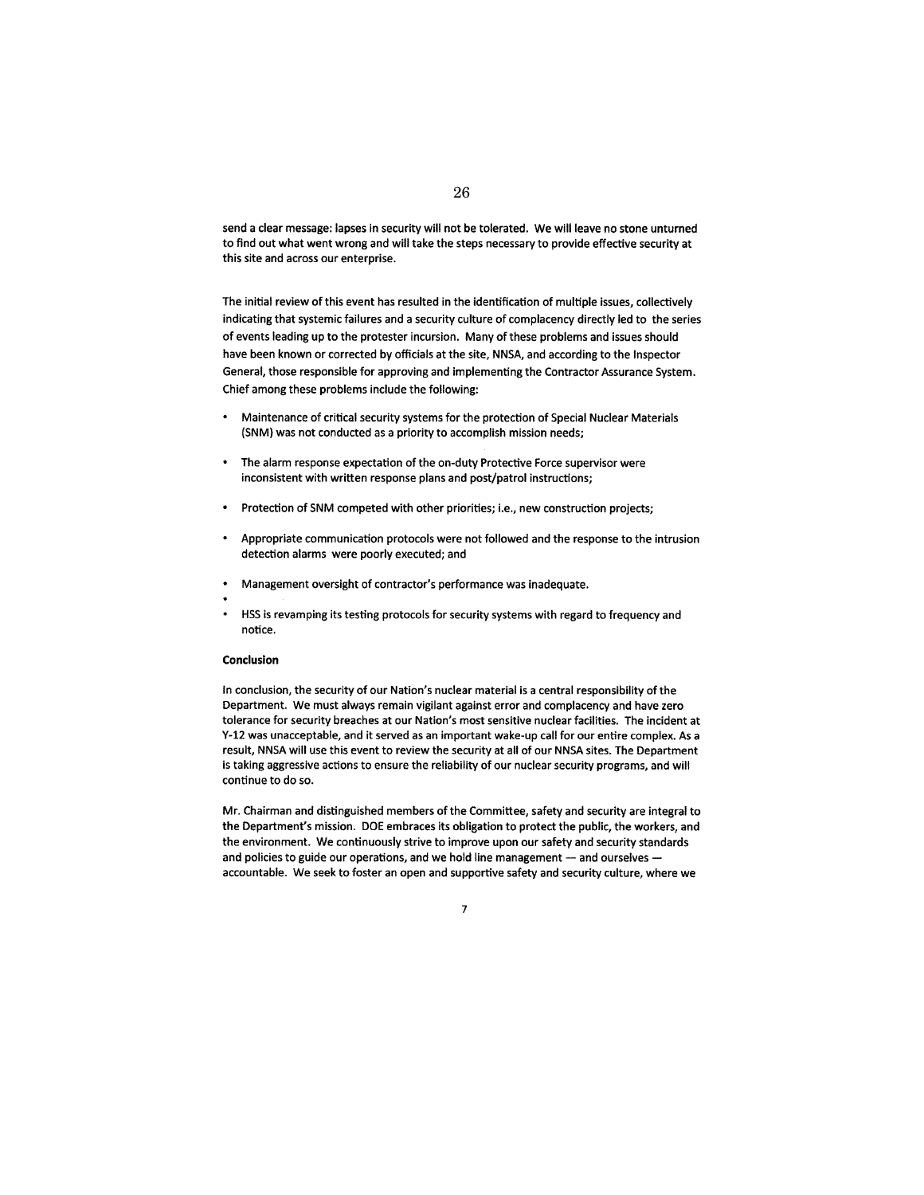send a clear message: lapses in security will not be tolerated. We will leave no stone unturned to find out what went wrong and will take the steps necessary to provide effective security at this site and across our enterprise.

The initial review of this event has resulted in the identification of multiple issues, collectively indicating that systemic failures and a security culture of complacency directly led to the series of events leading up to the protester incursion. Many of these problems and issues should have been known or corrected by officials at the site, NNSA, and according to the Inspector General, those responsible for approving and implementing the Contractor Assurance System. Chief among these problems include the following:

- Maintenance of critical security systems for the protection of Special Nuclear Materials (SNM) was not conducted as a priority to accomplish mission needs;
- The alarm response expectation of the on-duty Protective Force supervisor were inconsistent with written response plans and post/patrol instructions;
- Protection of SNM competed with other priorities; i.e., new construction projects;
- Appropriate communication protocols were not followed and the response to the intrusion detection alarms were poorly executed; and
- Management oversight of contractor's performance was inadequate.
- 
- HSS is revamping its testing protocols for security systems with regard to frequency and notice.

#### **Conclusion**

In conclusion, the security of our Nation's nuclear material is a central responsibility of the Department. We must always remain vigilant against error and complacency and have zero tolerance for security breaches at our Nation's most sensitive nuclear facilities. The incident at Y-12 was unacceptable, and it served as an important wake-up call for our entire complex. As a result, NNSA will use this event to review the security at all of our NNSA sites. The Department is taking aggressive actions to ensure the reliability of our nuclear security programs, and will continue to do so.

Mr. Chairman and distinguished members of the Committee, safety and security are integral to the Department's mission. DOE embraces its obligation to protect the public, the workers, and the environment. We continuously strive to improve upon our safety and security standards and policies to guide our operations, and we hold line management  $-$  and ourselves accountable. We seek to foster an open and supportive safety and security culture, where we

7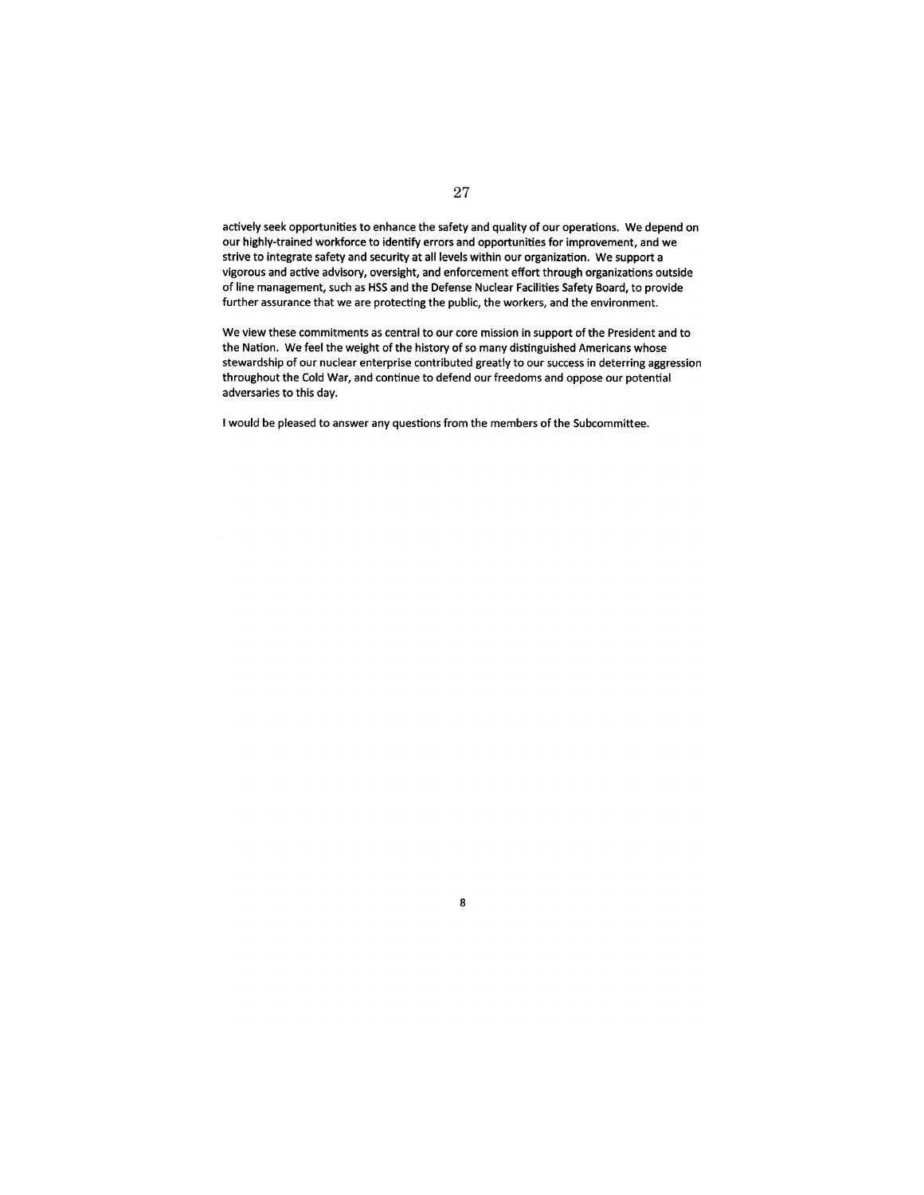actively seek opportunities to enhance the safety and quality of our operations. We depend on our highly-trained workforce to identify errors and opportunities for improvement, and we strive to integrate safety and security at all levels within our organization. We support a vigorous and active advisory, oversight, and enforcement effort through organizations outside of line management, such as HSS and the Defense Nuclear Facilities Safety Board, to provide further assurance that we are protecting the public, the workers, and the environment.

We view these commitments as central to our core mission in support of the President and to the Nation. We feel the weight of the history of so many distinguished Americans whose stewardship of our nuclear enterprise contributed greatly to our success in deterring aggression throughout the Cold War, and continue to defend our freedoms and oppose our potential adversaries to this day.

8

I would be pleased to answer any questions from the members of the Subcommittee.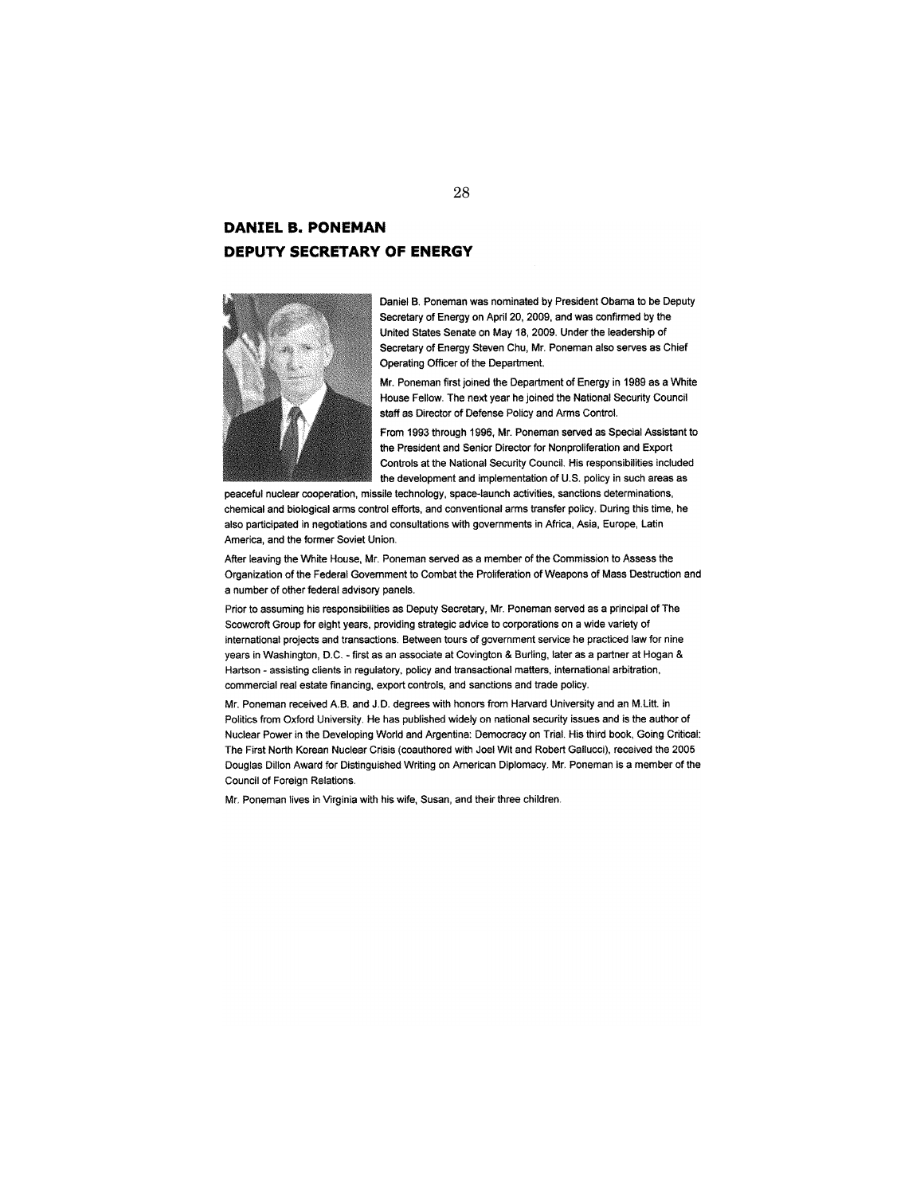# **DANIEL B. PONEMAN DEPUTY SECRETARY OF ENERGY**



Daniel B. Poneman was nominated by President Obama to be Deputy Secretary of Energy on April 20, 2009, and was confirmed by the United States Senate on May 18, 2009. Under the leadership of Secretary of Energy Steven Chu, Mr. Poneman also serves as Chief Operating Officer of the Department.

Mr. Poneman first joined the Department of Energy in 1989 as a White House Fellow. The next year he joined the National Security Council staff as Director of Defense Policy and Arms Control.

From 1993 through 1996, Mr. Poneman served as Special Assistant to the President and Senior Director for Nonproliferation and Export Controls at the National Security Council. His responsibilities included the development and implementation of U.S. policy in such areas as

peaceful nuclear cooperation, missile technology, space-launch activities, sanctions determinations, chemical and biological arms control efforts, and conventional arms transfer policy. During this time, he also participated in negotiations and consultations with governments in Africa, Asia, Europe, Latin America, and the former Soviet Union.

After leaving the White House, Mr. Poneman served as a member of the Commission to Assess the Organization of the Federal Govemment to Combat the Proliferation of Weapons of Mass Destruction and a number of other federal advisory panels.

Prior to assuming his responsibilities as Deputy Secretary, Mr. Poneman served as a principal of The Scowcroft Group for eight years, providing strategic advice to corporations on a wide variety of international projects and transactions. Between tours of government service he practiced law for nine years in Washington, D.C. - first as an associate at Covington & Burling, later as a partner at Hogan & Hartson - assisting clients in regulatory, policy and transactional matters, international arbitration, commercial real estate financing, export controls, and sanctions and trade policy.

Mr. Poneman received A.B. and J.D. degrees with honors from Harvard University and an M.Utt. in Politics from Oxford University. He has published widely on national security issues and is the author of Nuclear Power in the Developing World and Argentina: Democracy on Trial. His third book, Going Critical: The First North Korean Nuclear Crisis (coauthored with Joel Wit and Robert Gallucci), received the 2005 Douglas Dillon Award for Distinguished Writing on American Diplomacy. Mr. Poneman is a member of the Council of Foreign Relations.

Mr. Poneman lives in Virginia with his wife, Susan, and their three children.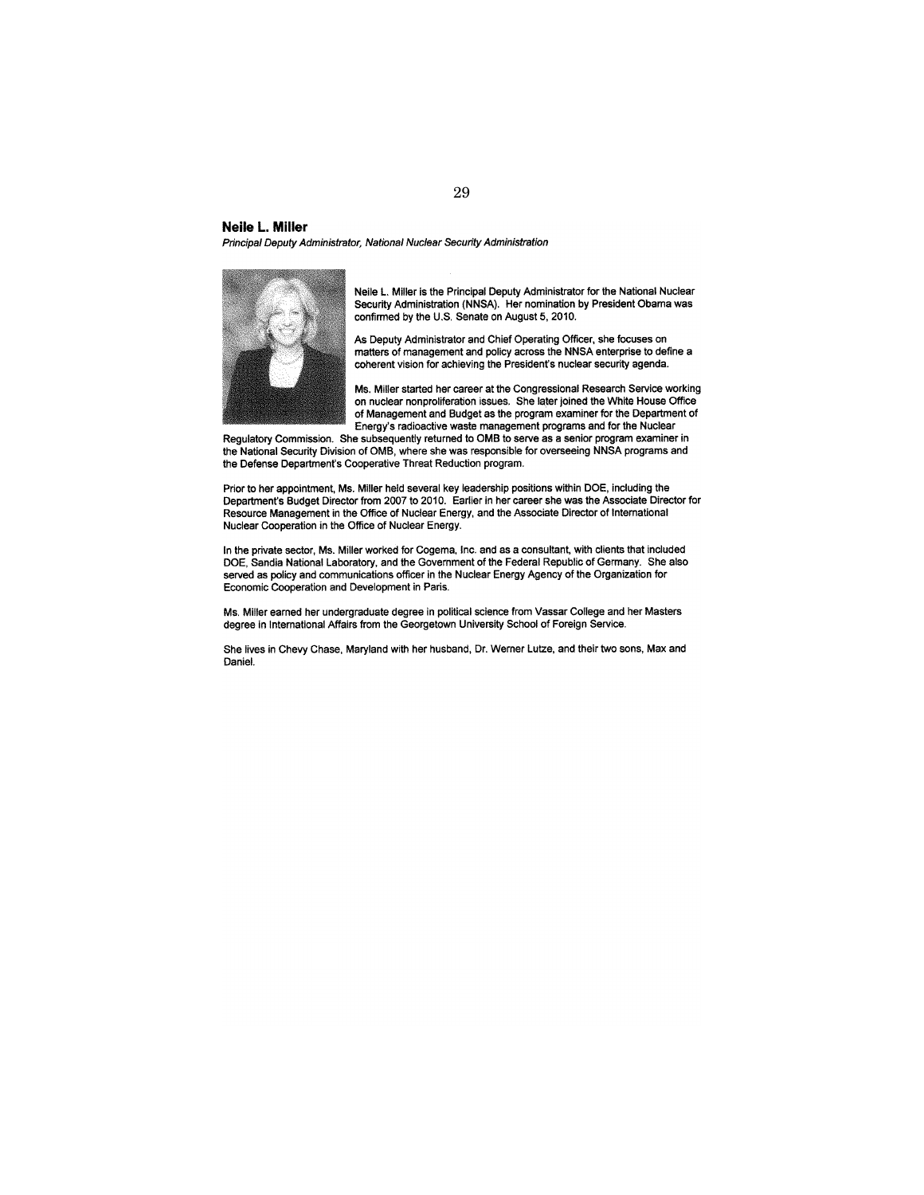#### **Neile L. Miller**

Principal Deputy Administrator, National Nuclear Security Administration



Neile L. Miller is the Principal Deputy Administrator for the National Nuclear Security Administration (NNSA). Her nomination by President Obama was confirmed by the U.S. Senate on August 5,2010.

As Deputy Administrator and Chief Operating Officer, she focuses on matters of management and policy across the NNSA enterprise to define a coherent vision for achieving the President's nuclear security agenda.

Ms. Miller started her career at the Congressional Research Service working on nuclear nonproliferation issues. She later joined the White House Office of Management and Budget as the program examiner for the Department of Energy's radioactive waste management programs and for the Nuclear

Regulatory Commission. She subsequently returned to OMB to serve as a senior program examiner in the National Security Division of OMB, where she was responsible for overseeing NNSA programs and the Defense Department's Cooperative Threat Reduction program.

Prior to her appointment, Ms. Miller held several key leadership positions within DOE, including the Department's Budget Director from 2007 to 2010. Earlier in her career she was the Associate Director for Resource Management in the Office of Nuclear Energy, and the Associate Director of International Nuclear Cooperation in the Office of Nuclear Energy.

In the private sector, Ms. Miller worked for Cogema, Inc. and as a consultant, with clients that included DOE, Sandia National Laboratory, and the Government of the Federal Republic of Germany. She also served as policy and communications officer in the Nuclear Energy Agency of the Organization for Economic Cooperation and Development in Paris.

Ms. Miller earned her undergraduate degree in political science from Vassar College and her Masters degree in International Affairs from the Georgetown University School of Foreign Service.

She lives in Chevy Chase, Maryland with her husband, Dr. Werner Lutze, and their two sons, Max and Daniel.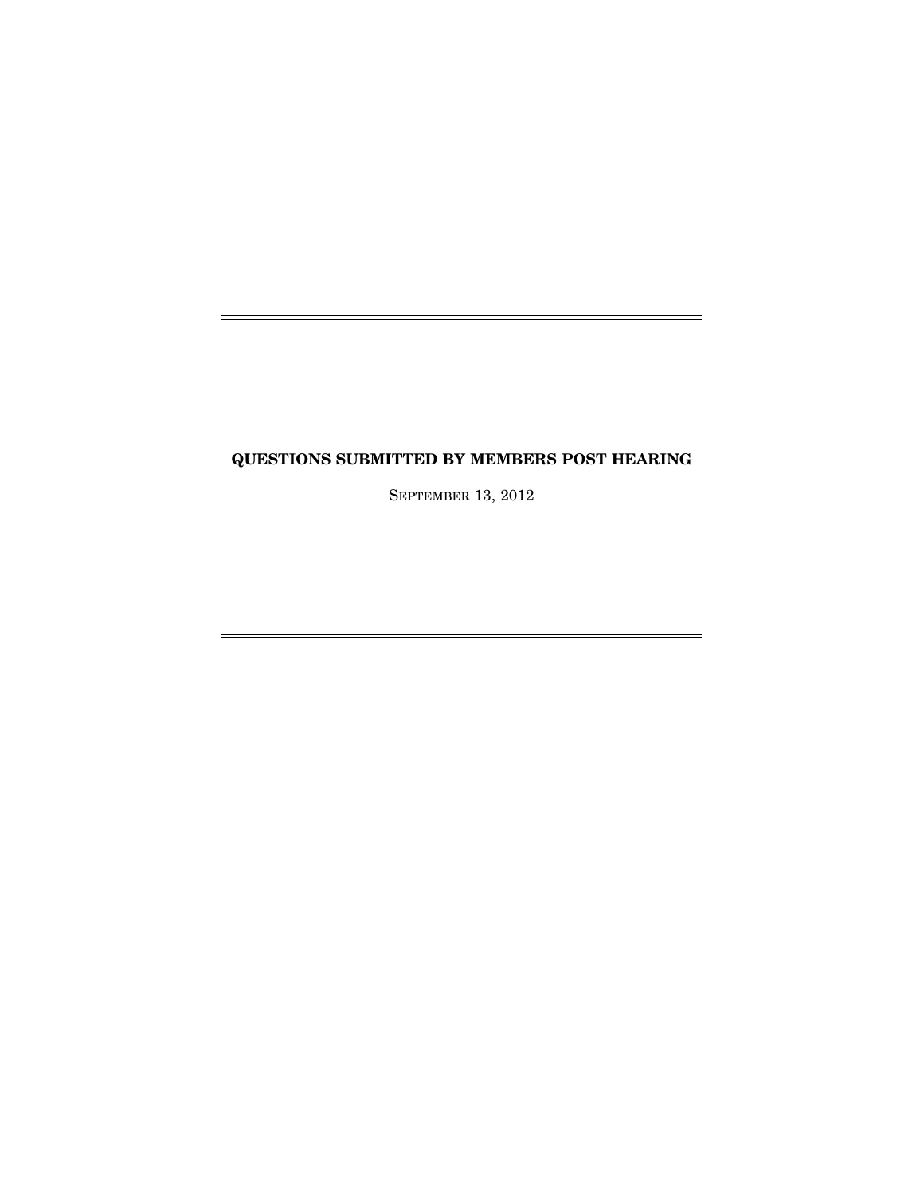# **QUESTIONS SUBMITTED BY MEMBERS POST HEARING**

SEPTEMBER 13, 2012

 $\equiv$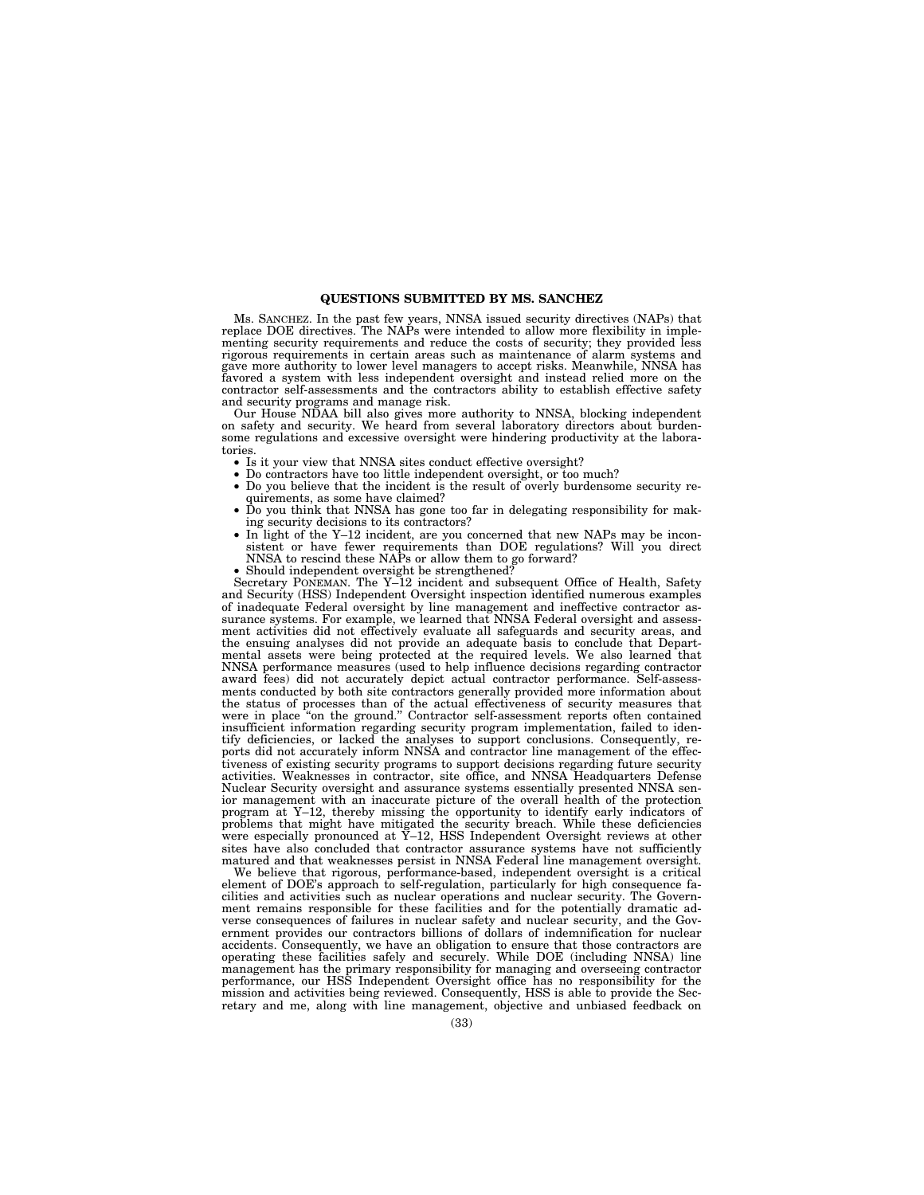#### **QUESTIONS SUBMITTED BY MS. SANCHEZ**

Ms. SANCHEZ. In the past few years, NNSA issued security directives (NAPs) that replace DOE directives. The NAPs were intended to allow more flexibility in implementing security requirements and reduce the costs of security; they provided less rigorous requirements in certain areas such as maintenance of alarm systems and gave more authority to lower level managers to accept risks. Meanwhile, NNSA has favored a system with less independent oversight and instead relied more on the contractor self-assessments and the contractors ability to establish effective safety and security programs and manage risk.

Our House NDAA bill also gives more authority to NNSA, blocking independent on safety and security. We heard from several laboratory directors about burdensome regulations and excessive oversight were hindering productivity at the laboratories.

- Is it your view that NNSA sites conduct effective oversight?
- Do contractors have too little independent oversight, or too much?
- Do you believe that the incident is the result of overly burdensome security requirements, as some have claimed?
- Do you think that NNSA has gone too far in delegating responsibility for making security decisions to its contractors?
- In light of the Y-12 incident, are you concerned that new NAPs may be inconsistent or have fewer requirements than DOE regulations? Will you direct NNSA to rescind these NAPs or allow them to go forward?
- Should independent oversight be strengthened?

Secretary PONEMAN. The Y–12 incident and subsequent Office of Health, Safety and Security (HSS) Independent Oversight inspection identified numerous examples of inadequate Federal oversight by line management and ineffective contractor assurance systems. For example, we learned that NNSA Federal oversight and assessment activities did not effectively evaluate all safeguards and security areas, and the ensuing analyses did not provide an adequate basis to conclude that Departmental assets were being protected at the required levels. We also learned that NNSA performance measures (used to help influence decisions regarding contractor award fees) did not accurately depict actual contractor performance. Self-assessments conducted by both site contractors generally provided more information about the status of processes than of the actual effectiveness of security measures that were in place ''on the ground.'' Contractor self-assessment reports often contained insufficient information regarding security program implementation, failed to identify deficiencies, or lacked the analyses to support conclusions. Consequently, reports did not accurately inform NNSA and contractor line management of the effectiveness of existing security programs to support decisions regarding future security activities. Weaknesses in contractor, site office, and NNSA Headquarters Defense Nuclear Security oversight and assurance systems essentially presented NNSA senior management with an inaccurate picture of the overall health of the protection program at Y–12, thereby missing the opportunity to identify early indicators of problems that might have mitigated the security breach. While these deficiencies were especially pronounced at Y–12, HSS Independent Oversight reviews at other sites have also concluded that contractor assurance systems have not sufficiently matured and that weaknesses persist in NNSA Federal line management oversight.

We believe that rigorous, performance-based, independent oversight is a critical element of DOE's approach to self-regulation, particularly for high consequence facilities and activities such as nuclear operations and nuclear security. The Government remains responsible for these facilities and for the potentially dramatic adverse consequences of failures in nuclear safety and nuclear security, and the Government provides our contractors billions of dollars of indemnification for nuclear accidents. Consequently, we have an obligation to ensure that those contractors are operating these facilities safely and securely. While DOE (including NNSA) line management has the primary responsibility for managing and overseeing contractor performance, our HSS Independent Oversight office has no responsibility for the mission and activities being reviewed. Consequently, HSS is able to provide the Secretary and me, along with line management, objective and unbiased feedback on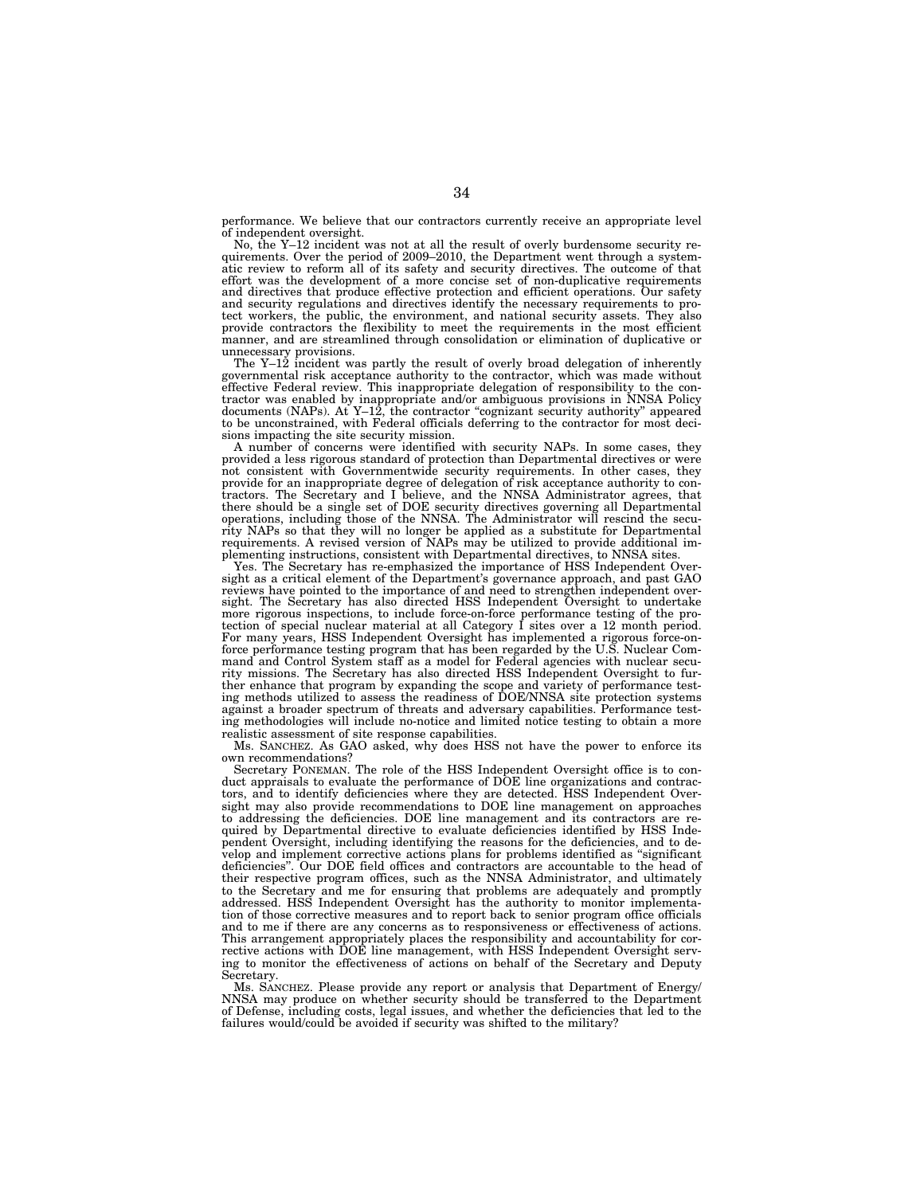performance. We believe that our contractors currently receive an appropriate level of independent oversight.

No, the Y–12 incident was not at all the result of overly burdensome security re-quirements. Over the period of 2009–2010, the Department went through a systematic review to reform all of its safety and security directives. The outcome of that effort was the development of a more concise set of non-duplicative requirements and directives that produce effective protection and efficient operations. Our safety and security regulations and directives identify the necessary requirements to protect workers, the public, the environment, and national security assets. They also provide contractors the flexibility to meet the requirements in the most efficient manner, and are streamlined through consolidation or elimination of duplicative or

unnecessary provisions. The Y–12 incident was partly the result of overly broad delegation of inherently governmental risk acceptance authority to the contractor, which was made without effective Federal review. This inappropriate delegation of responsibility to the contractor was enabled by inappropriate and/or ambiguous provisions in NNSA Policy documents (NAPs). At Y–12, the contractor ''cognizant security authority'' appeared to be unconstrained, with Federal officials deferring to the contractor for most decisions impacting the site security mission.

A number of concerns were identified with security NAPs. In some cases, they provided a less rigorous standard of protection than Departmental directives or were not consistent with Governmentwide security requirements. In other cases, they provide for an inappropriate degree of delegation of risk acceptance authority to contractors. The Secretary and I believe, and the NNSA Administrator agrees, that there should be a single set of DOE security directives governing all Departmental operations, including those of the NNSA. The Administrator will rescind the security NAPs so that they will no longer be applied as a substitute for Departmental requirements. A revised version of NAPs may be utilized to provide additional im-

plementing instructions, consistent with Departmental directives, to NNSA sites. Yes. The Secretary has re-emphasized the importance of HSS Independent Oversight as a critical element of the Department's governance approach, and past GAO reviews have pointed to the importance of and need to strengthen independent oversight. The Secretary has also directed HSS Independent Oversight to undertake more rigorous inspections, to include force-on-force performance testing of the pro-tection of special nuclear material at all Category I sites over a 12 month period. For many years, HSS Independent Oversight has implemented a rigorous force-onforce performance testing program that has been regarded by the U.S. Nuclear Command and Control System staff as a model for Federal agencies with nuclear security missions. The Secretary has also directed HSS Independent Oversight to further enhance that program by expanding the scope and variety of performance testing methods utilized to assess the readiness of DOE/NNSA site protection systems against a broader spectrum of threats and adversary capabilities. Performance testing methodologies will include no-notice and limited notice testing to obtain a more realistic assessment of site response capabilities.

Ms. SANCHEZ. As GAO asked, why does HSS not have the power to enforce its own recommendations?

Secretary PONEMAN. The role of the HSS Independent Oversight office is to conduct appraisals to evaluate the performance of DOE line organizations and contractors, and to identify deficiencies where they are detected. HSS Independent Oversight may also provide recommendations to DOE line management on approaches to addressing the deficiencies. DOE line management and its contractors are required by Departmental directive to evaluate deficiencies identified by HSS Independent Oversight, including identifying the reasons for the deficiencies, and to develop and implement corrective actions plans for problems identified as ''significant deficiencies''. Our DOE field offices and contractors are accountable to the head of their respective program offices, such as the NNSA Administrator, and ultimately to the Secretary and me for ensuring that problems are adequately and promptly addressed. HSS Independent Oversight has the authority to monitor implementation of those corrective measures and to report back to senior program office officials and to me if there are any concerns as to responsiveness or effectiveness of actions. This arrangement appropriately places the responsibility and accountability for corrective actions with DOE line management, with HSS Independent Oversight serving to monitor the effectiveness of actions on behalf of the Secretary and Deputy Secretary.

Ms. SANCHEZ. Please provide any report or analysis that Department of Energy/ NNSA may produce on whether security should be transferred to the Department of Defense, including costs, legal issues, and whether the deficiencies that led to the failures would/could be avoided if security was shifted to the military?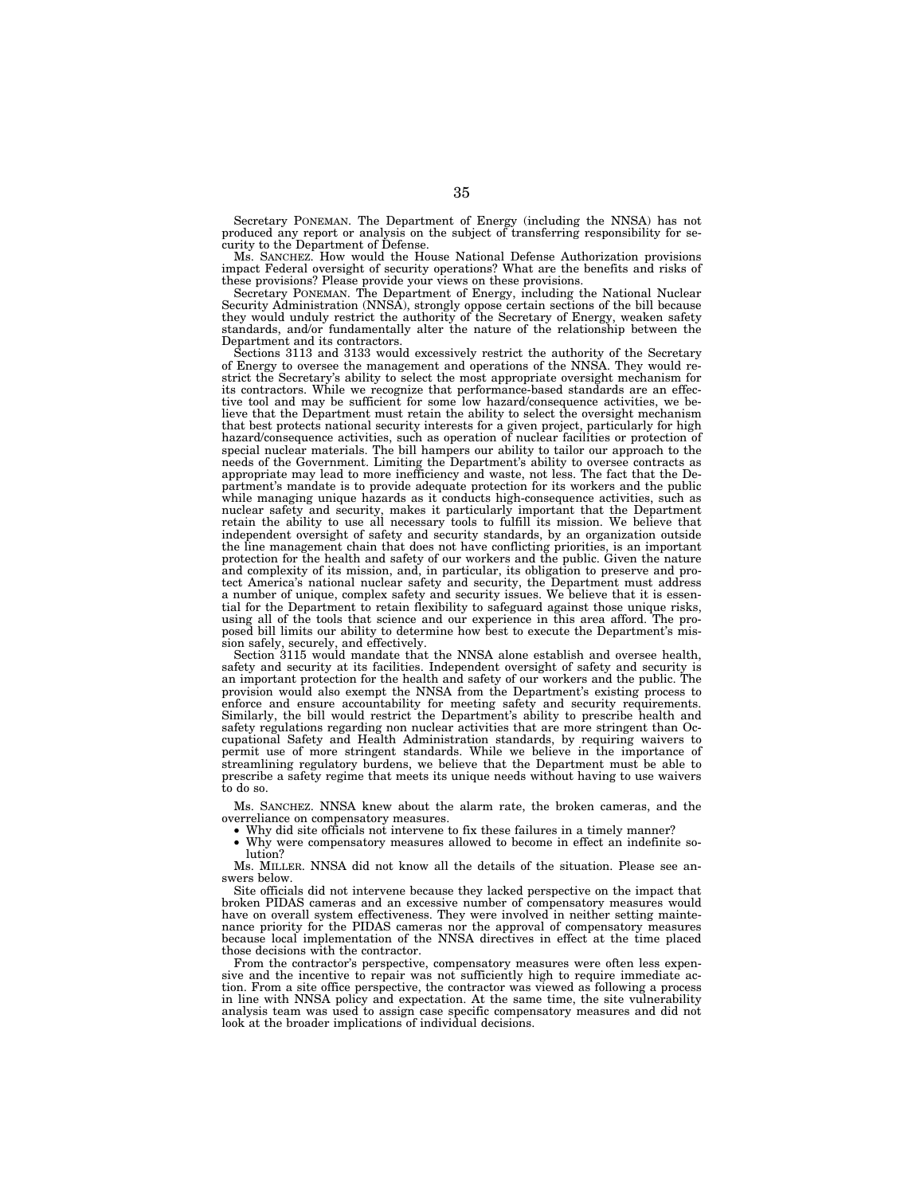Secretary PONEMAN. The Department of Energy (including the NNSA) has not produced any report or analysis on the subject of transferring responsibility for security to the Department of Defense.

Ms. SANCHEZ. How would the House National Defense Authorization provisions impact Federal oversight of security operations? What are the benefits and risks of these provisions? Please provide your views on these provisions.

Secretary PONEMAN. The Department of Energy, including the National Nuclear Security Administration (NNSA), strongly oppose certain sections of the bill because they would unduly restrict the authority of the Secretary of Energy, weaken safety standards, and/or fundamentally alter the nature of the relationship between the Department and its contractors.

Sections 3113 and 3133 would excessively restrict the authority of the Secretary of Energy to oversee the management and operations of the NNSA. They would restrict the Secretary's ability to select the most appropriate oversight mechanism for its contractors. While we recognize that performance-based standards are an effective tool and may be sufficient for some low hazard/consequence activities, we believe that the Department must retain the ability to select the oversight mechanism that best protects national security interests for a given project, particularly for high hazard/consequence activities, such as operation of nuclear facilities or protection of special nuclear materials. The bill hampers our ability to tailor our approach to the needs of the Government. Limiting the Department's ability to oversee contracts as appropriate may lead to more inefficiency and waste, not less. The fact that the Department's mandate is to provide adequate protection for its workers and the public while managing unique hazards as it conducts high-consequence activities, such as nuclear safety and security, makes it particularly important that the Department retain the ability to use all necessary tools to fulfill its mission. We believe that independent oversight of safety and security standards, by an organization outside the line management chain that does not have conflicting priorities, is an important protection for the health and safety of our workers and the public. Given the nature and complexity of its mission, and, in particular, its obligation to preserve and protect America's national nuclear safety and security, the Department must address a number of unique, complex safety and security issues. We believe that it is essential for the Department to retain flexibility to safeguard against those unique risks, using all of the tools that science and our experience in this area afford. The proposed bill limits our ability to determine how best to execute the Department's mission safely, securely, and effectively.

Section 3115 would mandate that the NNSA alone establish and oversee health, safety and security at its facilities. Independent oversight of safety and security is an important protection for the health and safety of our workers and the public. The provision would also exempt the NNSA from the Department's existing process to enforce and ensure accountability for meeting safety and security requirements. Similarly, the bill would restrict the Department's ability to prescribe health and safety regulations regarding non nuclear activities that are more stringent than Occupational Safety and Health Administration standards, by requiring waivers to permit use of more stringent standards. While we believe in the importance of streamlining regulatory burdens, we believe that the Department must be able to prescribe a safety regime that meets its unique needs without having to use waivers to do so.

Ms. SANCHEZ. NNSA knew about the alarm rate, the broken cameras, and the overreliance on compensatory measures.

• Why did site officials not intervene to fix these failures in a timely manner?

• Why were compensatory measures allowed to become in effect an indefinite solution?

Ms. MILLER. NNSA did not know all the details of the situation. Please see answers below.

Site officials did not intervene because they lacked perspective on the impact that broken PIDAS cameras and an excessive number of compensatory measures would have on overall system effectiveness. They were involved in neither setting maintenance priority for the PIDAS cameras nor the approval of compensatory measures because local implementation of the NNSA directives in effect at the time placed those decisions with the contractor.

From the contractor's perspective, compensatory measures were often less expensive and the incentive to repair was not sufficiently high to require immediate action. From a site office perspective, the contractor was viewed as following a process in line with NNSA policy and expectation. At the same time, the site vulnerability analysis team was used to assign case specific compensatory measures and did not look at the broader implications of individual decisions.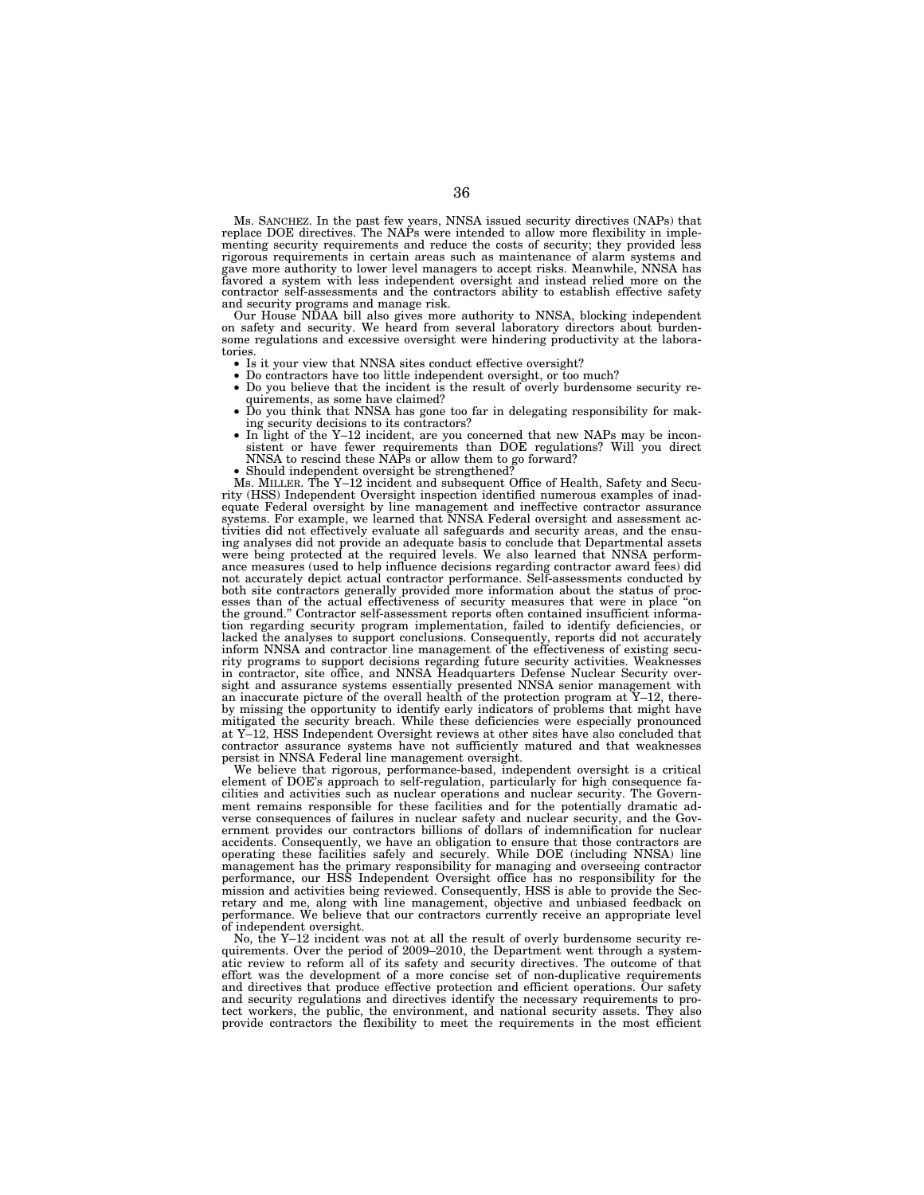Ms. SANCHEZ. In the past few years, NNSA issued security directives (NAPs) that replace DOE directives. The NAPs were intended to allow more flexibility in implementing security requirements and reduce the costs of security; they provided less rigorous requirements in certain areas such as maintenance of alarm systems and gave more authority to lower level managers to accept risks. Meanwhile, NNSA has favored a system with less independent oversight and instead relied more on the contractor self-assessments and the contractors ability to establish effective safety and security programs and manage risk.

Our House NDAA bill also gives more authority to NNSA, blocking independent on safety and security. We heard from several laboratory directors about burdensome regulations and excessive oversight were hindering productivity at the laboratories. • Is it your view that NNSA sites conduct effective oversight? • Do contractors have too little independent oversight, or too much? • Do you believe that the incident is the result of overly burdensome security re-

- 
- 
- quirements, as some have claimed? Do you think that NNSA has gone too far in delegating responsibility for mak-
- ing security decisions to its contractors? In light of the Y–12 incident, are you concerned that new NAPs may be incon-
- $S$  in fight of the  $T-12$  incident, are you concerned that flew NATs may be inconsistent or have fewer requirements than DOE regulations? Will you direct NNSA to rescind these NAPs or allow them to go forward?
- 

NNSA to rescind these NAPs or allow them to go forward? • Should independent oversight be strengthened? Ms. MILLER. The Y–12 incident and subsequent Office of Health, Safety and Security (HSS) Independent Oversight inspection identified numerous examples of inadequate Federal oversight by line management and ineffective contractor assurance systems. For example, we learned that NNSA Federal oversight and assessment activities did not effectively evaluate all safeguards and security areas, and the ensu-<br>ing analyses did not provide an adequate basis to conclude that Departmental assets<br>were being protected at the required levels. We als ance measures (used to help influence decisions regarding contractor award fees) did<br>not accurately depict actual contractor performance. Self-assessments conducted by<br>both site contractors generally provided more informat esses than of the actual effectiveness of security measures that were in place "on the ground." Contractor self-assessment reports often contained insufficient information regarding security program implementation, failed to identify deficiencies, or lacked the analyses to support conclusions. Consequently, reports did not accurately inform NNSA and contractor line management of the effectiveness of existing security programs to support decisions regarding future security activities. Weaknesses in contractor, site office, and NNSA Headquarters Defense Nuclear Security oversight and assurance systems essentially presented NNSA senior management with an inaccurate picture of the overall health of the protection program at Y–12, thereby missing the opportunity to identify early indicators of problems that might have mitigated the security breach. While these deficiencies were especially pronounced at Y–12, HSS Independent Oversight reviews at other sites have also concluded that contractor assurance systems have not sufficiently matured and that weaknesses persist in NNSA Federal line management oversight.

We believe that rigorous, performance-based, independent oversight is a critical element of DOE's approach to self-regulation, particularly for high consequence facilities and activities such as nuclear operations and nuclear security. The Government remains responsible for these facilities and for the potentially dramatic adverse consequences of failures in nuclear safety and nuclear security, and the Government provides our contractors billions of dollars of indemnification for nuclear accidents. Consequently, we have an obligation to ensure that those contractors are operating these facilities safely and securely. While DOE (including NNSA) line management has the primary responsibility for managing and overseeing contractor performance, our HSS Independent Oversight office has no responsibility for the mission and activities being reviewed. Consequently, HSS is able to provide the Secretary and me, along with line management, objective and unbiased feedback on performance. We believe that our contractors currently receive an appropriate level of independent oversight.

No, the Y–12 incident was not at all the result of overly burdensome security requirements. Over the period of 2009–2010, the Department went through a systematic review to reform all of its safety and security directives. The outcome of that effort was the development of a more concise set of non-duplicative requirements and directives that produce effective protection and efficient operations. Our safety and security regulations and directives identify the necessary requirements to protect workers, the public, the environment, and national security assets. They also provide contractors the flexibility to meet the requirements in the most efficient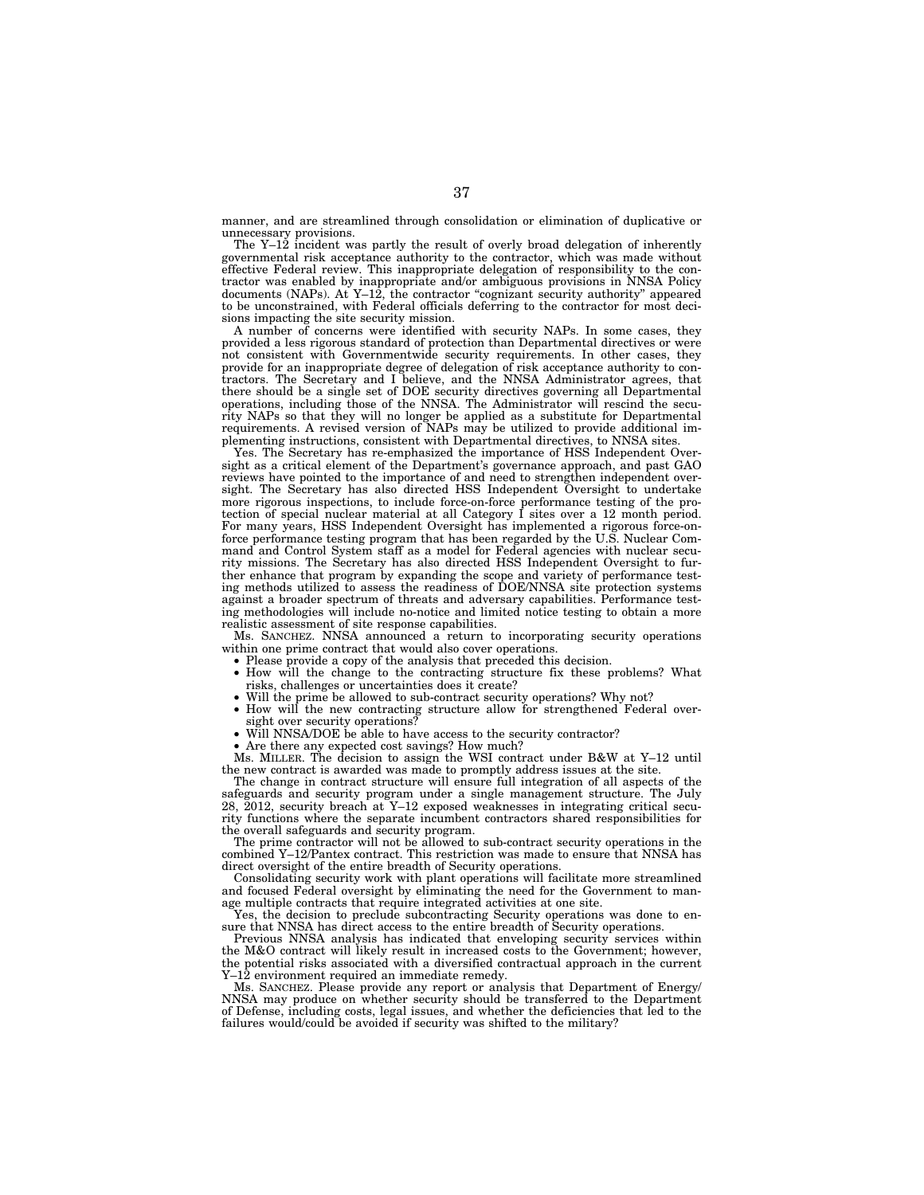manner, and are streamlined through consolidation or elimination of duplicative or unnecessary provisions.

The Y–12 incident was partly the result of overly broad delegation of inherently governmental risk acceptance authority to the contractor, which was made without effective Federal review. This inappropriate delegation of responsibility to the contractor was enabled by inappropriate and/or ambiguous provisions in NNSA Policy documents (NAPs). At Y–12, the contractor ''cognizant security authority'' appeared to be unconstrained, with Federal officials deferring to the contractor for most decisions impacting the site security mission.

A number of concerns were identified with security NAPs. In some cases, they provided a less rigorous standard of protection than Departmental directives or were not consistent with Governmentwide security requirements. In other cases, they provide for an inappropriate degree of delegation of risk acceptance authority to contractors. The Secretary and I believe, and the NNSA Administrator agrees, that there should be a single set of DOE security directives governing all Departmental operations, including those of the NNSA. The Administrator will rescind the security NAPs so that they will no longer be applied as a substitute for Departmental requirements. A revised version of NAPs may be utilized to provide additional implementing instructions, consistent with Departmental directives, to NNSA sites.

Yes. The Secretary has re-emphasized the importance of HSS Independent Oversight as a critical element of the Department's governance approach, and past GAO reviews have pointed to the importance of and need to strengthen independent oversight. The Secretary has also directed HSS Independent Oversight to undertake more rigorous inspections, to include force-on-force performance testing of the protection of special nuclear material at all Category I sites over a 12 month period. For many years, HSS Independent Oversight has implemented a rigorous force-onforce performance testing program that has been regarded by the U.S. Nuclear Command and Control System staff as a model for Federal agencies with nuclear security missions. The Secretary has also directed HSS Independent Oversight to further enhance that program by expanding the scope and variety of performance testing methods utilized to assess the readiness of DOE/NNSA site protection systems against a broader spectrum of threats and adversary capabilities. Performance testing methodologies will include no-notice and limited notice testing to obtain a more realistic assessment of site response capabilities.

Ms. SANCHEZ. NNSA announced a return to incorporating security operations within one prime contract that would also cover operations.

- Please provide a copy of the analysis that preceded this decision.
- How will the change to the contracting structure fix these problems? What risks, challenges or uncertainties does it create?
- Will the prime be allowed to sub-contract security operations? Why not?
- How will the new contracting structure allow for strengthened Federal over-sight over security operations?
- Will NNSA/DOE be able to have access to the security contractor?
- Are there any expected cost savings? How much?

Ms. MILLER. The decision to assign the WSI contract under B&W at Y–12 until the new contract is awarded was made to promptly address issues at the site.

The change in contract structure will ensure full integration of all aspects of the safeguards and security program under a single management structure. The July 28, 2012, security breach at Y–12 exposed weaknesses in integrating critical security functions where the separate incumbent contractors shared responsibilities for the overall safeguards and security program.

The prime contractor will not be allowed to sub-contract security operations in the combined Y–12/Pantex contract. This restriction was made to ensure that NNSA has direct oversight of the entire breadth of Security operations.

Consolidating security work with plant operations will facilitate more streamlined and focused Federal oversight by eliminating the need for the Government to manage multiple contracts that require integrated activities at one site.

Yes, the decision to preclude subcontracting Security operations was done to ensure that NNSA has direct access to the entire breadth of Security operations.

Previous NNSA analysis has indicated that enveloping security services within the M&O contract will likely result in increased costs to the Government; however, the potential risks associated with a diversified contractual approach in the current Y–12 environment required an immediate remedy.

Ms. SANCHEZ. Please provide any report or analysis that Department of Energy/ NNSA may produce on whether security should be transferred to the Department of Defense, including costs, legal issues, and whether the deficiencies that led to the failures would/could be avoided if security was shifted to the military?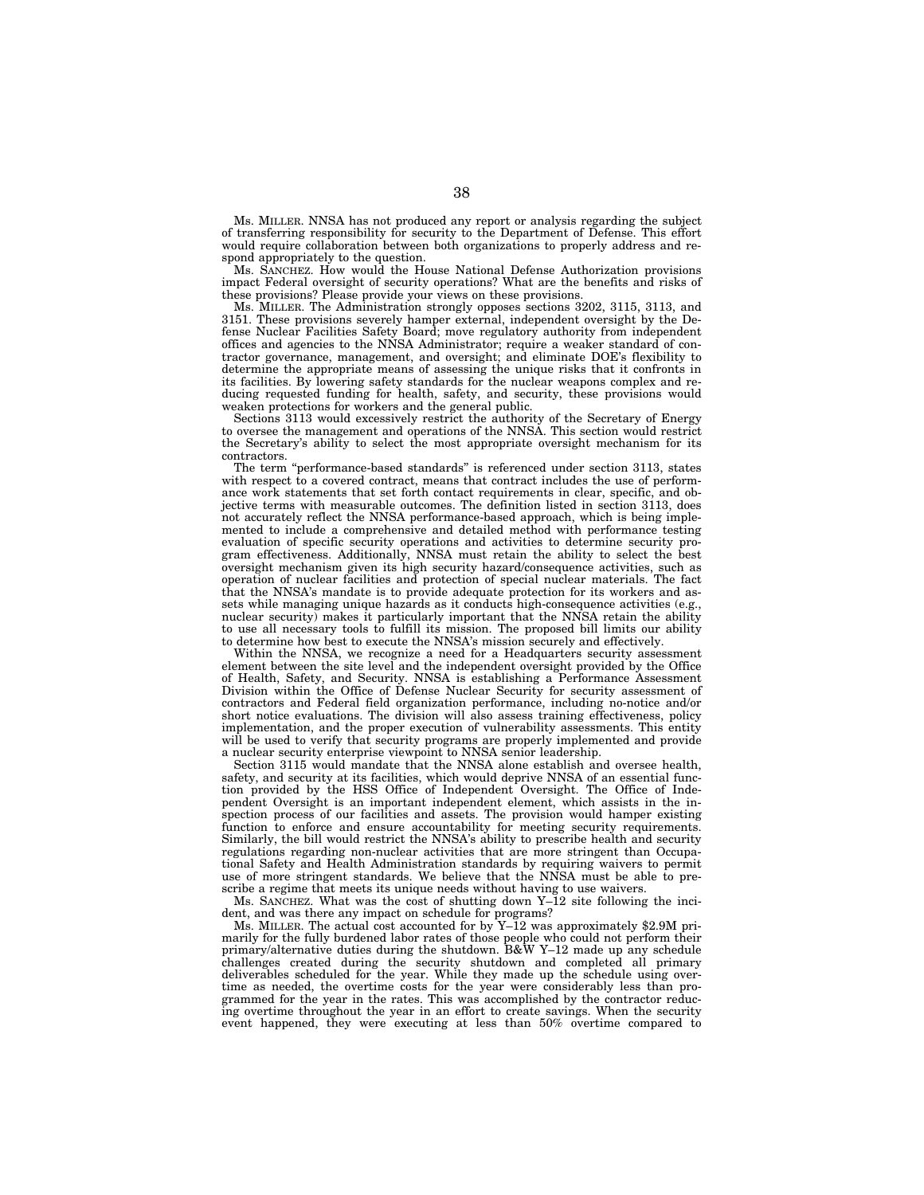Ms. MILLER. NNSA has not produced any report or analysis regarding the subject of transferring responsibility for security to the Department of Defense. This effort would require collaboration between both organizations to properly address and respond appropriately to the question.

Ms. SANCHEZ. How would the House National Defense Authorization provisions impact Federal oversight of security operations? What are the benefits and risks of these provisions? Please provide your views on these provisions.

Ms. MILLER. The Administration strongly opposes sections 3202, 3115, 3113, and 3151. These provisions severely hamper external, independent oversight by the Defense Nuclear Facilities Safety Board; move regulatory authority from independent offices and agencies to the NNSA Administrator; require a weaker standard of contractor governance, management, and oversight; and eliminate DOE's flexibility to determine the appropriate means of assessing the unique risks that it confronts in its facilities. By lowering safety standards for the nuclear weapons complex and reducing requested funding for health, safety, and security, these provisions would weaken protections for workers and the general public.

Sections 3113 would excessively restrict the authority of the Secretary of Energy to oversee the management and operations of the NNSA. This section would restrict the Secretary's ability to select the most appropriate oversight mechanism for its contractors.

The term ''performance-based standards'' is referenced under section 3113, states with respect to a covered contract, means that contract includes the use of performance work statements that set forth contact requirements in clear, specific, and objective terms with measurable outcomes. The definition listed in section 3113, does not accurately reflect the NNSA performance-based approach, which is being implemented to include a comprehensive and detailed method with performance testing evaluation of specific security operations and activities to determine security program effectiveness. Additionally, NNSA must retain the ability to select the best oversight mechanism given its high security hazard/consequence activities, such as operation of nuclear facilities and protection of special nuclear materials. The fact that the NNSA's mandate is to provide adequate protection for its workers and assets while managing unique hazards as it conducts high-consequence activities (e.g., nuclear security) makes it particularly important that the NNSA retain the ability to use all necessary tools to fulfill its mission. The proposed bill limits our ability to determine how best to execute the NNSA's mission securely and effectively.

Within the NNSA, we recognize a need for a Headquarters security assessment element between the site level and the independent oversight provided by the Office of Health, Safety, and Security. NNSA is establishing a Performance Assessment Division within the Office of Defense Nuclear Security for security assessment of contractors and Federal field organization performance, including no-notice and/or short notice evaluations. The division will also assess training effectiveness, policy implementation, and the proper execution of vulnerability assessments. This entity will be used to verify that security programs are properly implemented and provide a nuclear security enterprise viewpoint to NNSA senior leadership.

Section 3115 would mandate that the NNSA alone establish and oversee health, safety, and security at its facilities, which would deprive NNSA of an essential function provided by the HSS Office of Independent Oversight. The Office of Independent Oversight is an important independent element, which assists in the inspection process of our facilities and assets. The provision would hamper existing function to enforce and ensure accountability for meeting security requirements. Similarly, the bill would restrict the NNSA's ability to prescribe health and security regulations regarding non-nuclear activities that are more stringent than Occupational Safety and Health Administration standards by requiring waivers to permit use of more stringent standards. We believe that the NNSA must be able to prescribe a regime that meets its unique needs without having to use waivers.

Ms. SANCHEZ. What was the cost of shutting down Y–12 site following the incident, and was there any impact on schedule for programs?

Ms. MILLER. The actual cost accounted for by Y–12 was approximately \$2.9M primarily for the fully burdened labor rates of those people who could not perform their primary/alternative duties during the shutdown. B&W Y–12 made up any schedule challenges created during the security shutdown and completed all primary deliverables scheduled for the year. While they made up the schedule using overtime as needed, the overtime costs for the year were considerably less than programmed for the year in the rates. This was accomplished by the contractor reducing overtime throughout the year in an effort to create savings. When the security event happened, they were executing at less than 50% overtime compared to